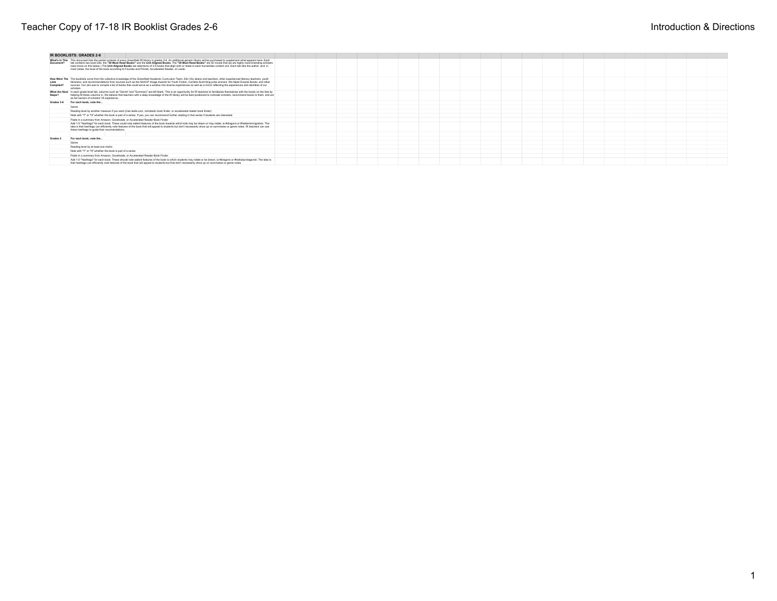|                    | IR BOOKLISTS: GRADES 2-6                                                                                                                                                                                                                                                                                                                                                                                                                                                                                                                                                                                                                             |  |  |  |  |  |  |  |
|--------------------|------------------------------------------------------------------------------------------------------------------------------------------------------------------------------------------------------------------------------------------------------------------------------------------------------------------------------------------------------------------------------------------------------------------------------------------------------------------------------------------------------------------------------------------------------------------------------------------------------------------------------------------------------|--|--|--|--|--|--|--|
| Document?          | What's In This This document lists the partial contents of every Greenfield IR Ibrary in grades 2-6. An additional generic library will be purchased to supplement what appears here. Each<br>tab contains two book lists: the "50 Must Read Books" and the Unit Aligned Books. The "50 Must Read Books" are 50 novels that we are highly recommending scholars<br>read (more on this below.) The Unit Aligned Books are selections of 3-5 books that align with or relate to each humanities content unit. Each tab lists the author, and, in<br>most cases, the level of the book according to Fountas and Pinnell, Accelerated Reader, or Lexile. |  |  |  |  |  |  |  |
| Lists<br>Compiled? | How Were The The booklats come from the collective knowledge of the Greenfield Academic Curriculum Team. Elm City deans and teachers, other experienced literacy teachers, youth<br>Ilbrarians, and recommendations from sources such as the NAACP Image Awards for Youth Fiction. Corretta Scott King prize winners. We Need Diverse Books, and other<br>sources. Our aim was to compile a list of books that could serve as a window into diverse experiences as well as a mirror reflecting the experiences and identities of our<br>scholars                                                                                                     |  |  |  |  |  |  |  |
| Steps?             | What Are Next In each grade level tab, columns such as "Genre" and "Summary" are left blank. This is an opportunity for IR teachers to familiarize themselves with the books on the lists by<br>helping fill these columns in. We believe that teachers with a deep knowledge of the IR library will be best positioned to motivate scholars, recommend books to them, and act<br>as full owners of scholars' IR experience.                                                                                                                                                                                                                         |  |  |  |  |  |  |  |
| Grades 3.6         | For each book, note the                                                                                                                                                                                                                                                                                                                                                                                                                                                                                                                                                                                                                              |  |  |  |  |  |  |  |
|                    | Genre                                                                                                                                                                                                                                                                                                                                                                                                                                                                                                                                                                                                                                                |  |  |  |  |  |  |  |
|                    | Reading level by another measure if you want (Use lexile.com, scholastic book finder, or accelerated reader book finder)                                                                                                                                                                                                                                                                                                                                                                                                                                                                                                                             |  |  |  |  |  |  |  |
|                    | Note with "Y" or "N" whether the book is part of a series. If yes, you can recommend further reading in that series if students are interested.                                                                                                                                                                                                                                                                                                                                                                                                                                                                                                      |  |  |  |  |  |  |  |
|                    | Paste in a summary from Amazon. Goodreads, or Accelerated Reader Book Finder                                                                                                                                                                                                                                                                                                                                                                                                                                                                                                                                                                         |  |  |  |  |  |  |  |
|                    | Add 1-5 "Hashtags" for each book. These could note salient features of the book towards which kids may be drawn or may relate, le #dragons or #haltianimmigration. The<br>idea is that hashfags can efficiently note features of the book that will appeal to students but don't necessarily show up on summaries or genre notes. IR teachers can use<br>these hashtags to quide their recomendations.                                                                                                                                                                                                                                               |  |  |  |  |  |  |  |
|                    |                                                                                                                                                                                                                                                                                                                                                                                                                                                                                                                                                                                                                                                      |  |  |  |  |  |  |  |
| Grades 2           | For each book, note the                                                                                                                                                                                                                                                                                                                                                                                                                                                                                                                                                                                                                              |  |  |  |  |  |  |  |
|                    | Genre                                                                                                                                                                                                                                                                                                                                                                                                                                                                                                                                                                                                                                                |  |  |  |  |  |  |  |
|                    | Reading level by at least one metric                                                                                                                                                                                                                                                                                                                                                                                                                                                                                                                                                                                                                 |  |  |  |  |  |  |  |
|                    | Note with "Y" or "N" whether the book is part of a series                                                                                                                                                                                                                                                                                                                                                                                                                                                                                                                                                                                            |  |  |  |  |  |  |  |
|                    | Paste in a summary from Amazon. Goodreads, or Accelerated Reader Book Finder                                                                                                                                                                                                                                                                                                                                                                                                                                                                                                                                                                         |  |  |  |  |  |  |  |
|                    | Add 1-5 "Hashtags" for each book. These should note salient features of the book to which students may relate or be drawn, ie #dragons or #haltianprotagonist. The idea is<br>that hashtags can efficiently note features of the book that will appeal to students but that don't necessarily show up on summaries or genre notes.                                                                                                                                                                                                                                                                                                                   |  |  |  |  |  |  |  |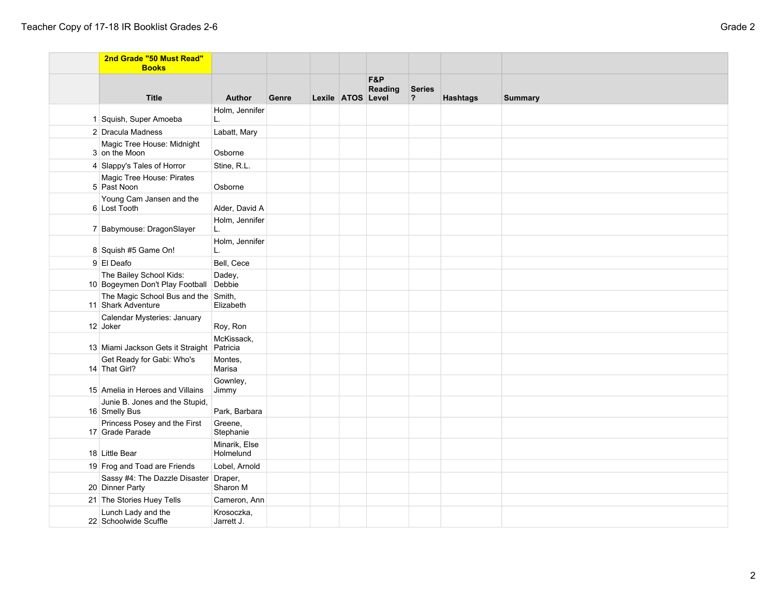| 2nd Grade "50 Must Read"<br><b>Books</b>                   |                            |       |                   |                |                                          |                 |                |
|------------------------------------------------------------|----------------------------|-------|-------------------|----------------|------------------------------------------|-----------------|----------------|
| <b>Title</b>                                               | <b>Author</b>              | Genre | Lexile ATOS Level | F&P<br>Reading | <b>Series</b><br>$\overline{\mathbf{?}}$ | <b>Hashtags</b> | <b>Summary</b> |
| 1 Squish, Super Amoeba                                     | Holm, Jennifer<br>L.       |       |                   |                |                                          |                 |                |
| 2 Dracula Madness                                          | Labatt, Mary               |       |                   |                |                                          |                 |                |
| Magic Tree House: Midnight<br>3 on the Moon                | Osborne                    |       |                   |                |                                          |                 |                |
| 4 Slappy's Tales of Horror                                 | Stine, R.L.                |       |                   |                |                                          |                 |                |
| Magic Tree House: Pirates<br>5 Past Noon                   | Osborne                    |       |                   |                |                                          |                 |                |
| Young Cam Jansen and the<br>6 Lost Tooth                   | Alder, David A             |       |                   |                |                                          |                 |                |
| 7 Babymouse: DragonSlayer                                  | Holm, Jennifer<br>L.       |       |                   |                |                                          |                 |                |
| 8 Squish #5 Game On!                                       | Holm, Jennifer<br>L.       |       |                   |                |                                          |                 |                |
| 9 El Deafo                                                 | Bell, Cece                 |       |                   |                |                                          |                 |                |
| The Bailey School Kids:<br>10 Bogeymen Don't Play Football | Dadey,<br>Debbie           |       |                   |                |                                          |                 |                |
| The Magic School Bus and the Smith,<br>11 Shark Adventure  | Elizabeth                  |       |                   |                |                                          |                 |                |
| Calendar Mysteries: January<br>12 Joker                    | Roy, Ron                   |       |                   |                |                                          |                 |                |
| 13 Miami Jackson Gets it Straight Patricia                 | McKissack,                 |       |                   |                |                                          |                 |                |
| Get Ready for Gabi: Who's<br>14 That Girl?                 | Montes,<br>Marisa          |       |                   |                |                                          |                 |                |
| 15 Amelia in Heroes and Villains                           | Gownley,<br>Jimmy          |       |                   |                |                                          |                 |                |
| Junie B. Jones and the Stupid,<br>16 Smelly Bus            | Park, Barbara              |       |                   |                |                                          |                 |                |
| Princess Posey and the First<br>17 Grade Parade            | Greene,<br>Stephanie       |       |                   |                |                                          |                 |                |
| 18 Little Bear                                             | Minarik, Else<br>Holmelund |       |                   |                |                                          |                 |                |
| 19 Frog and Toad are Friends                               | Lobel, Arnold              |       |                   |                |                                          |                 |                |
| Sassy #4: The Dazzle Disaster Draper,<br>20 Dinner Party   | Sharon M                   |       |                   |                |                                          |                 |                |
| 21 The Stories Huey Tells                                  | Cameron, Ann               |       |                   |                |                                          |                 |                |
| Lunch Lady and the<br>22 Schoolwide Scuffle                | Krosoczka.<br>Jarrett J.   |       |                   |                |                                          |                 |                |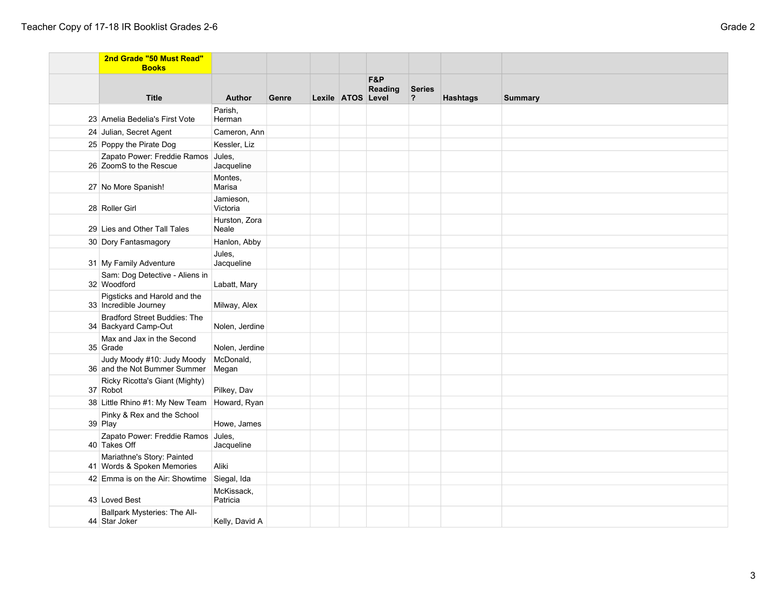39 Play

Pinky & Rex and the School

Howe, James

| 2nd Grade "50 Must Read"<br><b>Books</b>                    |                        |       |                   |                           |                                          |                 |                |
|-------------------------------------------------------------|------------------------|-------|-------------------|---------------------------|------------------------------------------|-----------------|----------------|
| <b>Title</b>                                                | <b>Author</b>          | Genre | Lexile ATOS Level | <b>F&amp;P</b><br>Reading | <b>Series</b><br>$\overline{\mathbf{?}}$ | <b>Hashtags</b> | <b>Summary</b> |
| 23 Amelia Bedelia's First Vote                              | Parish,<br>Herman      |       |                   |                           |                                          |                 |                |
| 24 Julian, Secret Agent                                     | Cameron, Ann           |       |                   |                           |                                          |                 |                |
| 25 Poppy the Pirate Dog                                     | Kessler, Liz           |       |                   |                           |                                          |                 |                |
| Zapato Power: Freddie Ramos<br>26 ZoomS to the Rescue       | Jules,<br>Jacqueline   |       |                   |                           |                                          |                 |                |
| 27 No More Spanish!                                         | Montes,<br>Marisa      |       |                   |                           |                                          |                 |                |
| 28 Roller Girl                                              | Jamieson,<br>Victoria  |       |                   |                           |                                          |                 |                |
| 29 Lies and Other Tall Tales                                | Hurston, Zora<br>Neale |       |                   |                           |                                          |                 |                |
| 30 Dory Fantasmagory                                        | Hanlon, Abby           |       |                   |                           |                                          |                 |                |
| 31 My Family Adventure                                      | Jules,<br>Jacqueline   |       |                   |                           |                                          |                 |                |
| Sam: Dog Detective - Aliens in<br>32 Woodford               | Labatt, Mary           |       |                   |                           |                                          |                 |                |
| Pigsticks and Harold and the<br>33 Incredible Journey       | Milway, Alex           |       |                   |                           |                                          |                 |                |
| <b>Bradford Street Buddies: The</b><br>34 Backyard Camp-Out | Nolen, Jerdine         |       |                   |                           |                                          |                 |                |
| Max and Jax in the Second<br>35 Grade                       | Nolen, Jerdine         |       |                   |                           |                                          |                 |                |
| Judy Moody #10: Judy Moody<br>36 and the Not Bummer Summer  | McDonald,<br>Megan     |       |                   |                           |                                          |                 |                |
| Ricky Ricotta's Giant (Mighty)<br>37 Robot                  | Pilkey, Dav            |       |                   |                           |                                          |                 |                |
| 38 Little Rhino #1: My New Team Howard, Ryan                |                        |       |                   |                           |                                          |                 |                |

| Zapato Power: Freddie Ramos Jules,<br>40 Takes Off       | Jacqueline             |  |  |  |  |
|----------------------------------------------------------|------------------------|--|--|--|--|
| Mariathne's Story: Painted<br>41 Words & Spoken Memories | Aliki                  |  |  |  |  |
| 42 Emma is on the Air: Showtime Siegal, Ida              |                        |  |  |  |  |
| 43 Loved Best                                            | McKissack,<br>Patricia |  |  |  |  |
| Ballpark Mysteries: The All-<br>44 Star Joker            | Kelly, David A         |  |  |  |  |
|                                                          |                        |  |  |  |  |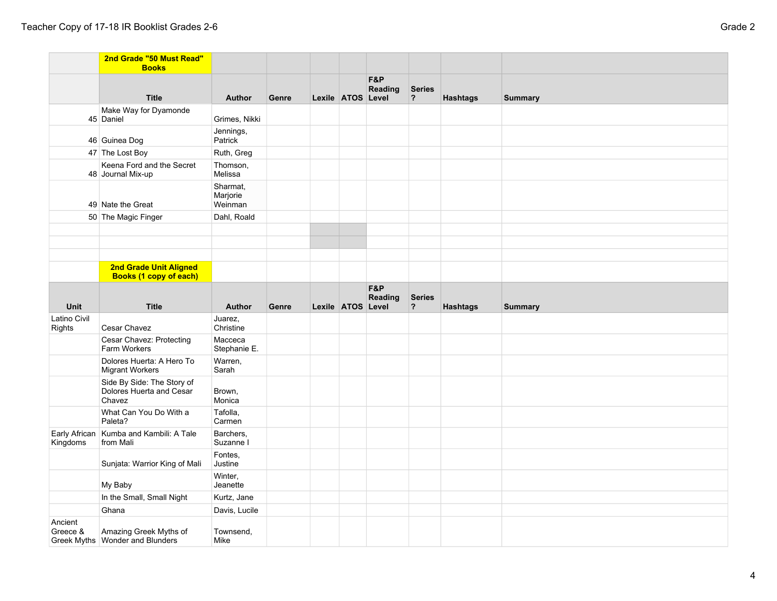|                        | 2nd Grade "50 Must Read"<br><b>Books</b>                         |                                 |       |                   |                |                                          |                 |                |
|------------------------|------------------------------------------------------------------|---------------------------------|-------|-------------------|----------------|------------------------------------------|-----------------|----------------|
|                        | <b>Title</b>                                                     | <b>Author</b>                   | Genre | Lexile ATOS Level | F&P<br>Reading | <b>Series</b><br>$\overline{\mathbf{?}}$ | <b>Hashtags</b> | <b>Summary</b> |
|                        | Make Way for Dyamonde<br>45 Daniel                               | Grimes, Nikki                   |       |                   |                |                                          |                 |                |
|                        | 46 Guinea Dog                                                    | Jennings,<br>Patrick            |       |                   |                |                                          |                 |                |
|                        | 47 The Lost Boy                                                  | Ruth, Greg                      |       |                   |                |                                          |                 |                |
|                        | Keena Ford and the Secret<br>48 Journal Mix-up                   | Thomson,<br>Melissa             |       |                   |                |                                          |                 |                |
|                        | 49 Nate the Great                                                | Sharmat,<br>Marjorie<br>Weinman |       |                   |                |                                          |                 |                |
|                        | 50 The Magic Finger                                              | Dahl, Roald                     |       |                   |                |                                          |                 |                |
|                        |                                                                  |                                 |       |                   |                |                                          |                 |                |
|                        |                                                                  |                                 |       |                   |                |                                          |                 |                |
|                        |                                                                  |                                 |       |                   |                |                                          |                 |                |
|                        | 2nd Grade Unit Aligned<br><b>Books (1 copy of each)</b>          |                                 |       |                   |                |                                          |                 |                |
| Unit                   | <b>Title</b>                                                     | <b>Author</b>                   | Genre | Lexile ATOS Level | F&P<br>Reading | <b>Series</b><br>$\overline{\mathbf{?}}$ | <b>Hashtags</b> | <b>Summary</b> |
| Latino Civil<br>Rights | Cesar Chavez                                                     | Juarez,<br>Christine            |       |                   |                |                                          |                 |                |
|                        | Cesar Chavez: Protecting<br>Farm Workers                         | Macceca<br>Stephanie E.         |       |                   |                |                                          |                 |                |
|                        | Dolores Huerta: A Hero To<br><b>Migrant Workers</b>              | Warren,<br>Sarah                |       |                   |                |                                          |                 |                |
|                        | Side By Side: The Story of<br>Dolores Huerta and Cesar<br>Chavez | Brown,<br>Monica                |       |                   |                |                                          |                 |                |
|                        | What Can You Do With a<br>Paleta?                                | Tafolla,<br>Carmen              |       |                   |                |                                          |                 |                |
| Kingdoms               | Early African   Kumba and Kambili: A Tale<br>from Mali           | Barchers,<br>Suzanne I          |       |                   |                |                                          |                 |                |
|                        | Sunjata: Warrior King of Mali                                    | Fontes,<br>Justine              |       |                   |                |                                          |                 |                |
|                        | My Baby                                                          | Winter,<br>Jeanette             |       |                   |                |                                          |                 |                |
|                        | In the Small, Small Night                                        | Kurtz, Jane                     |       |                   |                |                                          |                 |                |
|                        | Ghana                                                            | Davis, Lucile                   |       |                   |                |                                          |                 |                |
| Ancient<br>Greece &    | Amazing Greek Myths of<br>Greek Myths   Wonder and Blunders      | Townsend,<br>Mike               |       |                   |                |                                          |                 |                |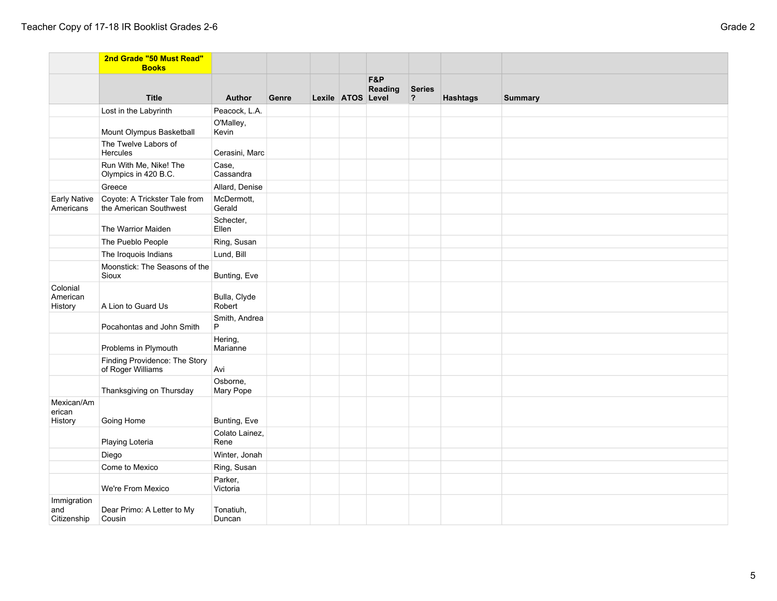|                                   | 2nd Grade "50 Must Read"<br><b>Books</b>                |                        |       |                   |                |                    |                 |                |
|-----------------------------------|---------------------------------------------------------|------------------------|-------|-------------------|----------------|--------------------|-----------------|----------------|
|                                   | <b>Title</b>                                            | <b>Author</b>          | Genre | Lexile ATOS Level | F&P<br>Reading | <b>Series</b><br>? | <b>Hashtags</b> | <b>Summary</b> |
|                                   | Lost in the Labyrinth                                   | Peacock, L.A.          |       |                   |                |                    |                 |                |
|                                   | Mount Olympus Basketball                                | O'Malley,<br>Kevin     |       |                   |                |                    |                 |                |
|                                   | The Twelve Labors of<br>Hercules                        | Cerasini, Marc         |       |                   |                |                    |                 |                |
|                                   | Run With Me, Nike! The<br>Olympics in 420 B.C.          | Case,<br>Cassandra     |       |                   |                |                    |                 |                |
|                                   | Greece                                                  | Allard, Denise         |       |                   |                |                    |                 |                |
| <b>Early Native</b><br>Americans  | Coyote: A Trickster Tale from<br>the American Southwest | McDermott,<br>Gerald   |       |                   |                |                    |                 |                |
|                                   | The Warrior Maiden                                      | Schecter,<br>Ellen     |       |                   |                |                    |                 |                |
|                                   | The Pueblo People                                       | Ring, Susan            |       |                   |                |                    |                 |                |
|                                   | The Iroquois Indians                                    | Lund, Bill             |       |                   |                |                    |                 |                |
|                                   | Moonstick: The Seasons of the<br>Sioux                  | Bunting, Eve           |       |                   |                |                    |                 |                |
| Colonial<br>American<br>History   | A Lion to Guard Us                                      | Bulla, Clyde<br>Robert |       |                   |                |                    |                 |                |
|                                   | Pocahontas and John Smith                               | Smith, Andrea<br>P     |       |                   |                |                    |                 |                |
|                                   | Problems in Plymouth                                    | Hering,<br>Marianne    |       |                   |                |                    |                 |                |
|                                   | Finding Providence: The Story<br>of Roger Williams      | Avi                    |       |                   |                |                    |                 |                |
|                                   | Thanksgiving on Thursday                                | Osborne,<br>Mary Pope  |       |                   |                |                    |                 |                |
| Mexican/Am<br>erican<br>History   | Going Home                                              | Bunting, Eve           |       |                   |                |                    |                 |                |
|                                   | Playing Loteria                                         | Colato Lainez,<br>Rene |       |                   |                |                    |                 |                |
|                                   | Diego                                                   | Winter, Jonah          |       |                   |                |                    |                 |                |
|                                   | Come to Mexico                                          | Ring, Susan            |       |                   |                |                    |                 |                |
|                                   | We're From Mexico                                       | Parker,<br>Victoria    |       |                   |                |                    |                 |                |
| Immigration<br>and<br>Citizenship | Dear Primo: A Letter to My<br>Cousin                    | Tonatiuh,<br>Duncan    |       |                   |                |                    |                 |                |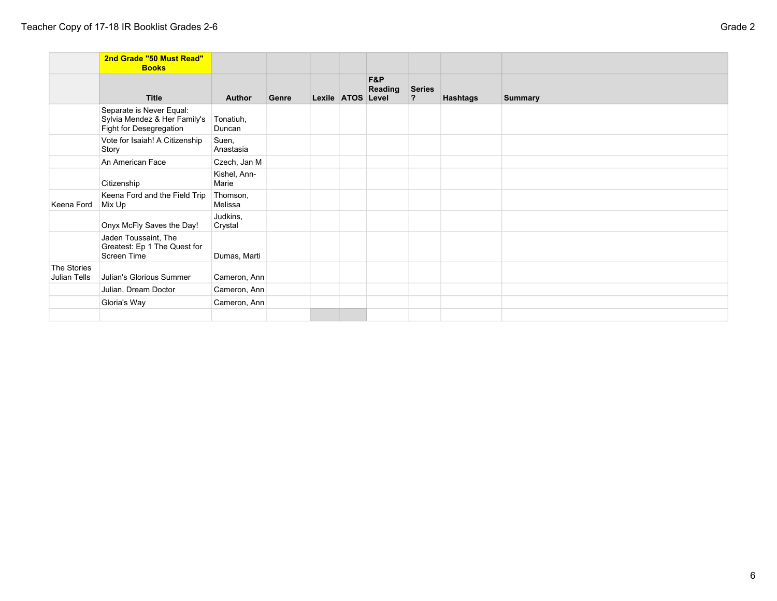|                             | 2nd Grade "50 Must Read"<br><b>Books</b>                                            |                       |       |                   |                |                          |          |                |
|-----------------------------|-------------------------------------------------------------------------------------|-----------------------|-------|-------------------|----------------|--------------------------|----------|----------------|
|                             | <b>Title</b>                                                                        | <b>Author</b>         | Genre | Lexile ATOS Level | F&P<br>Reading | Series<br>$\overline{?}$ | Hashtags | <b>Summary</b> |
|                             | Separate is Never Equal:<br>Sylvia Mendez & Her Family's<br>Fight for Desegregation | Tonatiuh,<br>Duncan   |       |                   |                |                          |          |                |
|                             | Vote for Isaiah! A Citizenship<br>Story                                             | Suen,<br>Anastasia    |       |                   |                |                          |          |                |
|                             | An American Face                                                                    | Czech, Jan M          |       |                   |                |                          |          |                |
|                             | Citizenship                                                                         | Kishel, Ann-<br>Marie |       |                   |                |                          |          |                |
| Keena Ford                  | Keena Ford and the Field Trip<br>Mix Up                                             | Thomson,<br>Melissa   |       |                   |                |                          |          |                |
|                             | Onyx McFly Saves the Day!                                                           | Judkins,<br>Crystal   |       |                   |                |                          |          |                |
|                             | Jaden Toussaint, The<br>Greatest: Ep 1 The Quest for<br>Screen Time                 | Dumas, Marti          |       |                   |                |                          |          |                |
| The Stories<br>Julian Tells | Julian's Glorious Summer                                                            | Cameron, Ann          |       |                   |                |                          |          |                |
|                             | Julian, Dream Doctor                                                                | Cameron, Ann          |       |                   |                |                          |          |                |
|                             | Gloria's Way                                                                        | Cameron, Ann          |       |                   |                |                          |          |                |
|                             |                                                                                     |                       |       |                   |                |                          |          |                |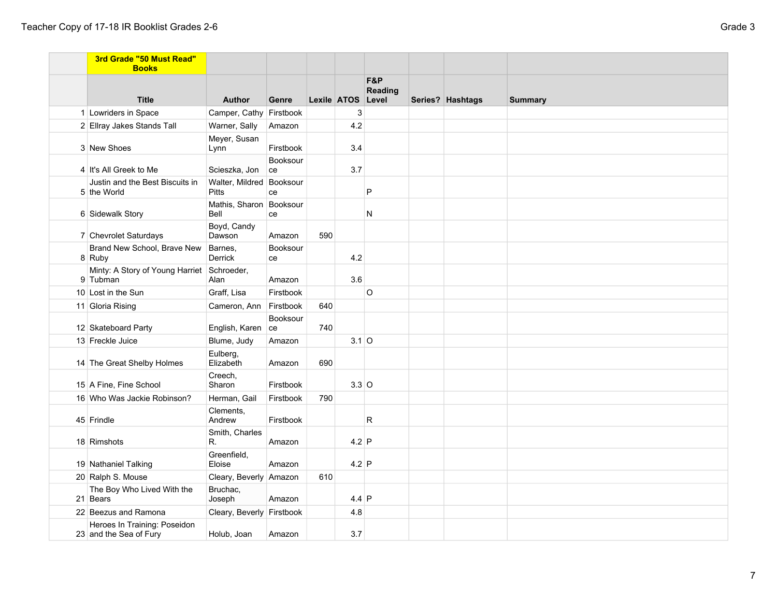| 3rd Grade "50 Must Read"<br><b>Books</b>               |                                          |                |     |                   |                |                  |                |
|--------------------------------------------------------|------------------------------------------|----------------|-----|-------------------|----------------|------------------|----------------|
| <b>Title</b>                                           | <b>Author</b>                            | Genre          |     | Lexile ATOS Level | F&P<br>Reading | Series? Hashtags | <b>Summary</b> |
| 1 Lowriders in Space                                   | Camper, Cathy Firstbook                  |                |     | 3                 |                |                  |                |
| 2 Ellray Jakes Stands Tall                             | Warner, Sally                            | Amazon         |     | 4.2               |                |                  |                |
| 3 New Shoes                                            | Meyer, Susan<br>Lynn                     | Firstbook      |     | 3.4               |                |                  |                |
| 4 It's All Greek to Me                                 | Scieszka, Jon                            | Booksour<br>ce |     | 3.7               |                |                  |                |
| Justin and the Best Biscuits in<br>5 the World         | Walter, Mildred Booksour<br><b>Pitts</b> | ce             |     |                   | P              |                  |                |
| 6 Sidewalk Story                                       | Mathis, Sharon Booksour<br>Bell          | ce             |     |                   | N              |                  |                |
| 7 Chevrolet Saturdays                                  | Boyd, Candy<br>Dawson                    | Amazon         | 590 |                   |                |                  |                |
| Brand New School, Brave New<br>8 Ruby                  | Barnes,<br>Derrick                       | Booksour<br>ce |     | 4.2               |                |                  |                |
| Minty: A Story of Young Harriet<br>9 Tubman            | Schroeder,<br>Alan                       | Amazon         |     | 3.6               |                |                  |                |
| 10 Lost in the Sun                                     | Graff, Lisa                              | Firstbook      |     |                   | $\circ$        |                  |                |
| 11 Gloria Rising                                       | Cameron, Ann Firstbook                   |                | 640 |                   |                |                  |                |
| 12 Skateboard Party                                    | English, Karen                           | Booksour<br>ce | 740 |                   |                |                  |                |
| 13 Freckle Juice                                       | Blume, Judy                              | Amazon         |     | $3.1$ O           |                |                  |                |
| 14 The Great Shelby Holmes                             | Eulberg,<br>Elizabeth                    | Amazon         | 690 |                   |                |                  |                |
| 15 A Fine, Fine School                                 | Creech,<br>Sharon                        | Firstbook      |     | $3.3$ O           |                |                  |                |
| 16 Who Was Jackie Robinson?                            | Herman, Gail                             | Firstbook      | 790 |                   |                |                  |                |
| 45 Frindle                                             | Clements,<br>Andrew                      | Firstbook      |     |                   | R              |                  |                |
| 18 Rimshots                                            | Smith, Charles<br>R.                     | Amazon         |     | $4.2$ P           |                |                  |                |
| 19 Nathaniel Talking                                   | Greenfield,<br>Eloise                    | Amazon         |     | $4.2$ P           |                |                  |                |
| 20 Ralph S. Mouse                                      | Cleary, Beverly Amazon                   |                | 610 |                   |                |                  |                |
| The Boy Who Lived With the<br>21 Bears                 | Bruchac,<br>Joseph                       | Amazon         |     | $4.4$ P           |                |                  |                |
| 22 Beezus and Ramona                                   | Cleary, Beverly Firstbook                |                |     | 4.8               |                |                  |                |
| Heroes In Training: Poseidon<br>23 and the Sea of Fury | Holub, Joan                              | Amazon         |     | 3.7               |                |                  |                |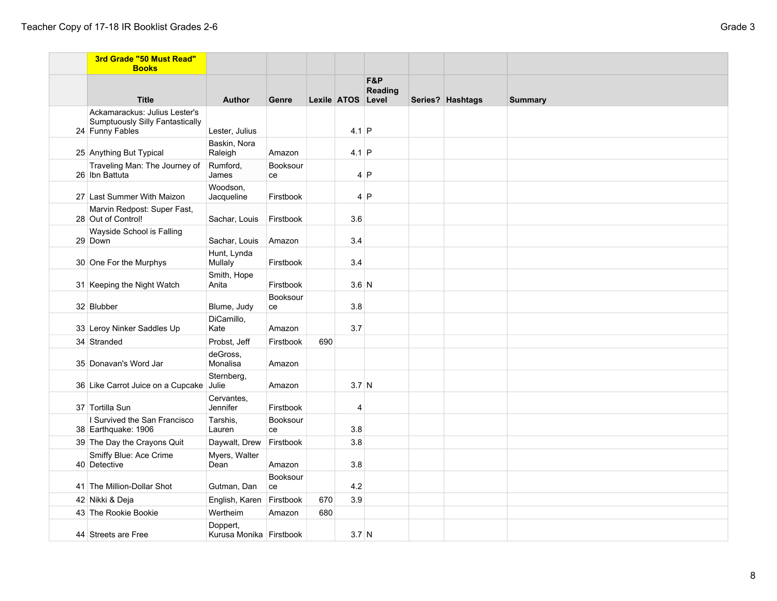| 3rd Grade "50 Must Read"<br><b>Books</b>                                                   |                                     |                |     |                   |                |                  |                |
|--------------------------------------------------------------------------------------------|-------------------------------------|----------------|-----|-------------------|----------------|------------------|----------------|
| <b>Title</b>                                                                               | <b>Author</b>                       | Genre          |     | Lexile ATOS Level | F&P<br>Reading | Series? Hashtags | <b>Summary</b> |
| Ackamarackus: Julius Lester's<br><b>Sumptuously Silly Fantastically</b><br>24 Funny Fables | Lester, Julius                      |                |     | $4.1$ P           |                |                  |                |
| 25 Anything But Typical                                                                    | Baskin, Nora<br>Raleigh             | Amazon         |     | $4.1$ P           |                |                  |                |
| Traveling Man: The Journey of<br>26 Ibn Battuta                                            | Rumford,<br>James                   | Booksour<br>ce |     |                   | 4 P            |                  |                |
| 27 Last Summer With Maizon                                                                 | Woodson,<br>Jacqueline              | Firstbook      |     |                   | 4 P            |                  |                |
| Marvin Redpost: Super Fast,<br>28 Out of Control!                                          | Sachar, Louis                       | Firstbook      |     | 3.6               |                |                  |                |
| Wayside School is Falling<br>29 Down                                                       | Sachar, Louis                       | Amazon         |     | 3.4               |                |                  |                |
| 30 One For the Murphys                                                                     | Hunt, Lynda<br>Mullaly              | Firstbook      |     | 3.4               |                |                  |                |
| 31 Keeping the Night Watch                                                                 | Smith, Hope<br>Anita                | Firstbook      |     | $3.6$ N           |                |                  |                |
| 32 Blubber                                                                                 | Blume, Judy                         | Booksour<br>ce |     | 3.8               |                |                  |                |
| 33 Leroy Ninker Saddles Up                                                                 | DiCamillo,<br>Kate                  | Amazon         |     | 3.7               |                |                  |                |
| 34 Stranded                                                                                | Probst, Jeff                        | Firstbook      | 690 |                   |                |                  |                |
| 35 Donavan's Word Jar                                                                      | deGross,<br>Monalisa                | Amazon         |     |                   |                |                  |                |
| 36 Like Carrot Juice on a Cupcake                                                          | Sternberg,<br>Julie                 | Amazon         |     | $3.7$ N           |                |                  |                |
| 37 Tortilla Sun                                                                            | Cervantes,<br>Jennifer              | Firstbook      |     | 4                 |                |                  |                |
| I Survived the San Francisco<br>38 Earthquake: 1906                                        | Tarshis,<br>Lauren                  | Booksour<br>ce |     | 3.8               |                |                  |                |
| 39 The Day the Crayons Quit                                                                | Daywalt, Drew                       | Firstbook      |     | 3.8               |                |                  |                |
| Smiffy Blue: Ace Crime<br>40 Detective                                                     | Myers, Walter<br>Dean               | Amazon         |     | 3.8               |                |                  |                |
| 41 The Million-Dollar Shot                                                                 | Gutman, Dan                         | Booksour<br>ce |     | 4.2               |                |                  |                |
| 42 Nikki & Deja                                                                            | English, Karen                      | Firstbook      | 670 | 3.9               |                |                  |                |
| 43 The Rookie Bookie                                                                       | Wertheim                            | Amazon         | 680 |                   |                |                  |                |
| 44 Streets are Free                                                                        | Doppert,<br>Kurusa Monika Firstbook |                |     | 3.7 <sub>N</sub>  |                |                  |                |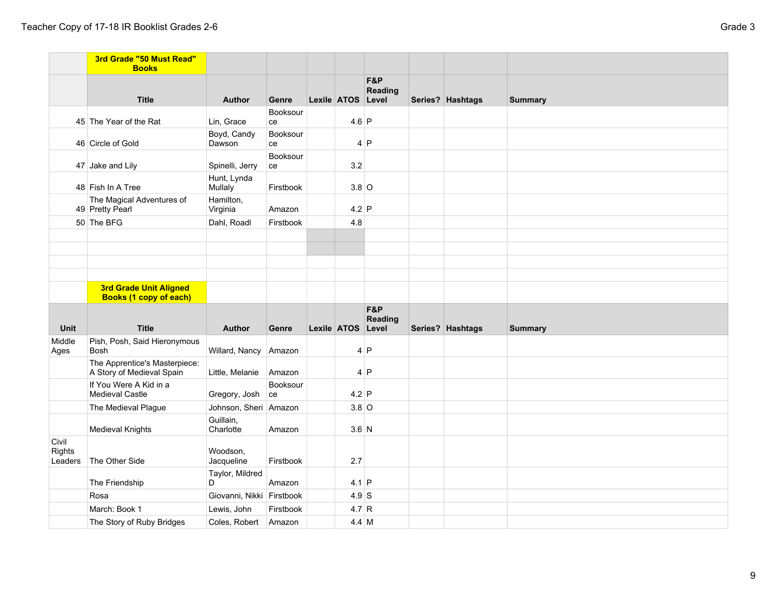|                            | 3rd Grade "50 Must Read"<br><b>Books</b>                       |                               |                |                   |                       |                  |                |
|----------------------------|----------------------------------------------------------------|-------------------------------|----------------|-------------------|-----------------------|------------------|----------------|
|                            | <b>Title</b>                                                   | <b>Author</b>                 | Genre          | Lexile ATOS Level | F&P<br>Reading        | Series? Hashtags | <b>Summary</b> |
|                            | 45 The Year of the Rat                                         | Lin, Grace                    | Booksour<br>ce | $4.6$ P           |                       |                  |                |
|                            | 46 Circle of Gold                                              | Boyd, Candy<br>Dawson         | Booksour<br>ce |                   | 4 P                   |                  |                |
|                            | 47 Jake and Lily                                               | Spinelli, Jerry               | Booksour<br>ce | 3.2               |                       |                  |                |
|                            | 48 Fish In A Tree                                              | Hunt, Lynda<br><b>Mullaly</b> | Firstbook      | $3.8$ O           |                       |                  |                |
|                            | The Magical Adventures of<br>49 Pretty Pearl                   | Hamilton,<br>Virginia         | Amazon         | $4.2$ P           |                       |                  |                |
|                            | 50 The BFG                                                     | Dahl, Roadl                   | Firstbook      | 4.8               |                       |                  |                |
|                            |                                                                |                               |                |                   |                       |                  |                |
|                            |                                                                |                               |                |                   |                       |                  |                |
|                            | <b>3rd Grade Unit Aligned</b><br><b>Books (1 copy of each)</b> |                               |                |                   |                       |                  |                |
| <b>Unit</b>                | <b>Title</b>                                                   | <b>Author</b>                 | Genre          | Lexile ATOS Level | F&P<br><b>Reading</b> | Series? Hashtags | <b>Summary</b> |
| Middle<br>Ages             | Pish, Posh, Said Hieronymous<br><b>Bosh</b>                    | Willard, Nancy Amazon         |                |                   | 4 P                   |                  |                |
|                            | The Apprentice's Masterpiece:<br>A Story of Medieval Spain     | Little, Melanie               | Amazon         |                   | 4 P                   |                  |                |
|                            | If You Were A Kid in a<br><b>Medieval Castle</b>               | Gregory, Josh ce              | Booksour       | $4.2$ P           |                       |                  |                |
|                            | The Medieval Plague                                            | Johnson, Sheri Amazon         |                | $3.8$ O           |                       |                  |                |
|                            | <b>Medieval Knights</b>                                        | Guillain,<br>Charlotte        | Amazon         | $3.6$ N           |                       |                  |                |
| Civil<br>Rights<br>Leaders | The Other Side                                                 | Woodson,<br>Jacqueline        | Firstbook      | 2.7               |                       |                  |                |
|                            | The Friendship                                                 | Taylor, Mildred<br>D          | Amazon         | $4.1$ P           |                       |                  |                |
|                            | Rosa                                                           | Giovanni, Nikki Firstbook     |                | $4.9$ S           |                       |                  |                |
|                            | March: Book 1                                                  | Lewis, John                   | Firstbook      | 4.7 R             |                       |                  |                |
|                            | The Story of Ruby Bridges                                      | Coles, Robert                 | Amazon         | 4.4 M             |                       |                  |                |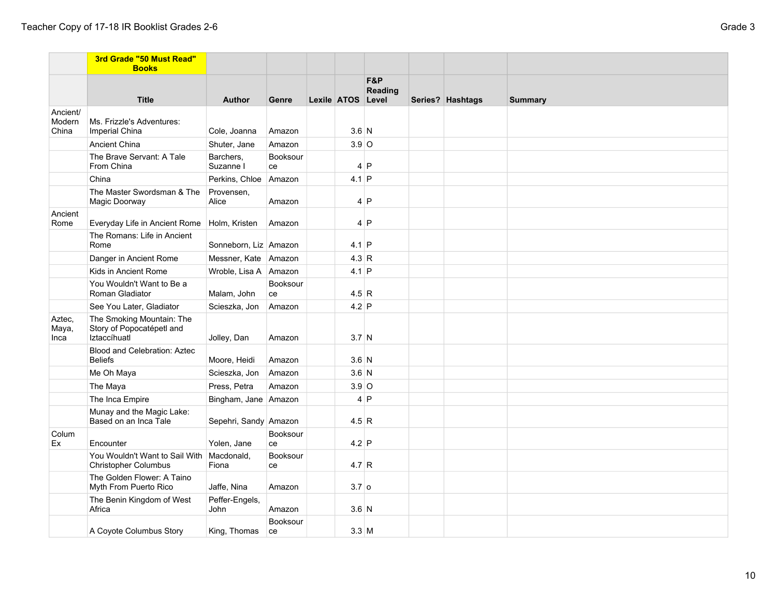|                             | 3rd Grade "50 Must Read"<br><b>Books</b>                               |                         |                |                   |                |                  |                |
|-----------------------------|------------------------------------------------------------------------|-------------------------|----------------|-------------------|----------------|------------------|----------------|
|                             | <b>Title</b>                                                           | <b>Author</b>           | Genre          | Lexile ATOS Level | F&P<br>Reading | Series? Hashtags | <b>Summary</b> |
| Ancient/<br>Modern<br>China | Ms. Frizzle's Adventures:<br>Imperial China                            | Cole, Joanna            | Amazon         | $3.6$ N           |                |                  |                |
|                             | <b>Ancient China</b>                                                   | Shuter, Jane            | Amazon         | $3.9$ O           |                |                  |                |
|                             | The Brave Servant: A Tale<br>From China                                | Barchers,<br>Suzanne I  | Booksour<br>ce |                   | 4 P            |                  |                |
|                             | China                                                                  | Perkins, Chloe Amazon   |                | $4.1$ P           |                |                  |                |
|                             | The Master Swordsman & The<br>Magic Doorway                            | Provensen,<br>Alice     | Amazon         |                   | 4 P            |                  |                |
| Ancient<br>Rome             | Everyday Life in Ancient Rome                                          | Holm, Kristen           | Amazon         |                   | 4 P            |                  |                |
|                             | The Romans: Life in Ancient<br>Rome                                    | Sonneborn, Liz Amazon   |                | $4.1$ P           |                |                  |                |
|                             | Danger in Ancient Rome                                                 | Messner, Kate Amazon    |                | 4.3 R             |                |                  |                |
|                             | Kids in Ancient Rome                                                   | Wroble, Lisa A   Amazon |                | $4.1$ P           |                |                  |                |
|                             | You Wouldn't Want to Be a<br>Roman Gladiator                           | Malam, John             | Booksour<br>ce | 4.5 R             |                |                  |                |
|                             | See You Later, Gladiator                                               | Scieszka, Jon           | Amazon         | $4.2$ P           |                |                  |                |
| Aztec,<br>Maya,<br>Inca     | The Smoking Mountain: The<br>Story of Popocatépetl and<br>Iztaccíhuatl | Jolley, Dan             | Amazon         | $3.7$ N           |                |                  |                |
|                             | Blood and Celebration: Aztec<br><b>Beliefs</b>                         | Moore, Heidi            | Amazon         | $3.6$ N           |                |                  |                |
|                             | Me Oh Maya                                                             | Scieszka, Jon           | Amazon         | $3.6$ N           |                |                  |                |
|                             | The Maya                                                               | Press, Petra            | Amazon         | $3.9$ O           |                |                  |                |
|                             | The Inca Empire                                                        | Bingham, Jane Amazon    |                |                   | 4 P            |                  |                |
|                             | Munay and the Magic Lake:<br>Based on an Inca Tale                     | Sepehri, Sandy Amazon   |                | 4.5 R             |                |                  |                |
| Colum<br>Ex                 | Encounter                                                              | Yolen, Jane             | Booksour<br>ce | $4.2$ P           |                |                  |                |
|                             | You Wouldn't Want to Sail With<br><b>Christopher Columbus</b>          | Macdonald,<br>Fiona     | Booksour<br>ce | 4.7 R             |                |                  |                |
|                             | The Golden Flower: A Taino<br>Myth From Puerto Rico                    | Jaffe, Nina             | Amazon         | $3.7$ 0           |                |                  |                |
|                             | The Benin Kingdom of West<br>Africa                                    | Peffer-Engels,<br>John  | Amazon         | $3.6$ N           |                |                  |                |
|                             | A Coyote Columbus Story                                                | King, Thomas            | Booksour<br>ce | $3.3$ M           |                |                  |                |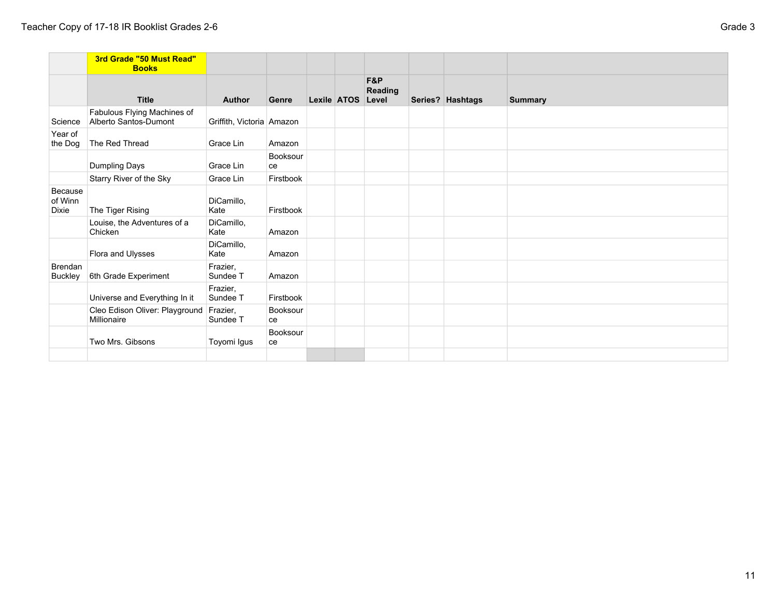|                                    | 3rd Grade "50 Must Read"<br><b>Books</b>             |                           |                |             |                         |                  |                |
|------------------------------------|------------------------------------------------------|---------------------------|----------------|-------------|-------------------------|------------------|----------------|
|                                    | <b>Title</b>                                         | <b>Author</b>             | Genre          | Lexile ATOS | F&P<br>Reading<br>Level | Series? Hashtags | <b>Summary</b> |
| Science                            | Fabulous Flying Machines of<br>Alberto Santos-Dumont | Griffith, Victoria Amazon |                |             |                         |                  |                |
| Year of<br>the Dog                 | The Red Thread                                       | Grace Lin                 | Amazon         |             |                         |                  |                |
|                                    | Dumpling Days                                        | Grace Lin                 | Booksour<br>ce |             |                         |                  |                |
|                                    | Starry River of the Sky                              | Grace Lin                 | Firstbook      |             |                         |                  |                |
| Because<br>of Winn<br><b>Dixie</b> | The Tiger Rising                                     | DiCamillo,<br>Kate        | Firstbook      |             |                         |                  |                |
|                                    | Louise, the Adventures of a<br>Chicken               | DiCamillo,<br>Kate        | Amazon         |             |                         |                  |                |
|                                    | Flora and Ulysses                                    | DiCamillo,<br>Kate        | Amazon         |             |                         |                  |                |
| <b>Brendan</b><br><b>Buckley</b>   | 6th Grade Experiment                                 | Frazier,<br>Sundee T      | Amazon         |             |                         |                  |                |
|                                    | Universe and Everything In it                        | Frazier,<br>Sundee T      | Firstbook      |             |                         |                  |                |
|                                    | Cleo Edison Oliver: Playground<br>Millionaire        | Frazier,<br>Sundee T      | Booksour<br>ce |             |                         |                  |                |
|                                    | Two Mrs. Gibsons                                     | Toyomi Igus               | Booksour<br>ce |             |                         |                  |                |
|                                    |                                                      |                           |                |             |                         |                  |                |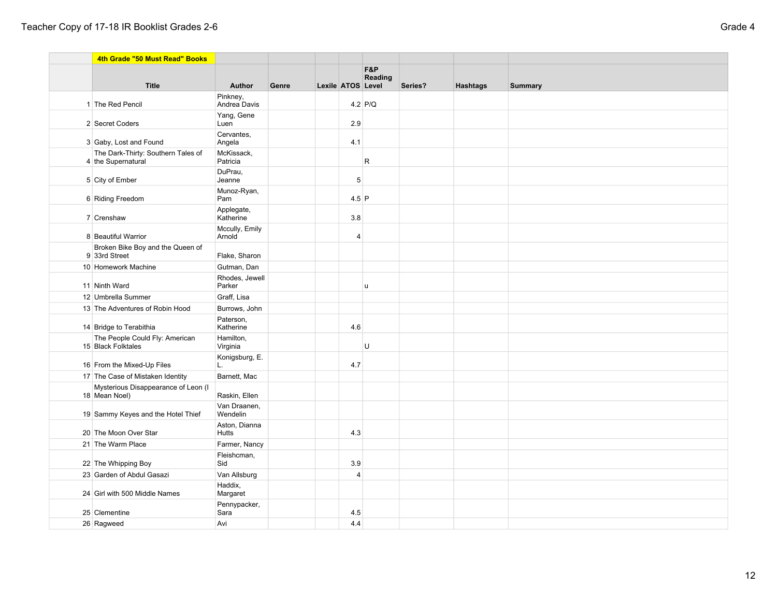|  | 4th Grade "50 Must Read" Books                           |                          |       |                   |                           |         |                 |                |
|--|----------------------------------------------------------|--------------------------|-------|-------------------|---------------------------|---------|-----------------|----------------|
|  |                                                          |                          |       |                   | <b>F&amp;P</b><br>Reading |         |                 |                |
|  | <b>Title</b>                                             | <b>Author</b>            | Genre | Lexile ATOS Level |                           | Series? | <b>Hashtags</b> | <b>Summary</b> |
|  | 1 The Red Pencil                                         | Pinkney,<br>Andrea Davis |       |                   | $4.2$ P/Q                 |         |                 |                |
|  | 2 Secret Coders                                          | Yang, Gene<br>Luen       |       | 2.9               |                           |         |                 |                |
|  | 3 Gaby, Lost and Found                                   | Cervantes,<br>Angela     |       | 4.1               |                           |         |                 |                |
|  | The Dark-Thirty: Southern Tales of<br>4 the Supernatural | McKissack,<br>Patricia   |       |                   | R                         |         |                 |                |
|  | 5 City of Ember                                          | DuPrau,<br>Jeanne        |       | 5                 |                           |         |                 |                |
|  | 6 Riding Freedom                                         | Munoz-Ryan,<br>Pam       |       | $4.5$ P           |                           |         |                 |                |
|  | 7 Crenshaw                                               | Applegate,<br>Katherine  |       | 3.8               |                           |         |                 |                |
|  | 8 Beautiful Warrior                                      | Mccully, Emily<br>Arnold |       | $\overline{4}$    |                           |         |                 |                |
|  | Broken Bike Boy and the Queen of<br>9 33rd Street        | Flake, Sharon            |       |                   |                           |         |                 |                |
|  | 10 Homework Machine                                      | Gutman, Dan              |       |                   |                           |         |                 |                |
|  | 11 Ninth Ward                                            | Rhodes, Jewell<br>Parker |       |                   | $\mathbf{u}$              |         |                 |                |
|  | 12 Umbrella Summer                                       | Graff, Lisa              |       |                   |                           |         |                 |                |
|  | 13 The Adventures of Robin Hood                          | Burrows, John            |       |                   |                           |         |                 |                |
|  | 14 Bridge to Terabithia                                  | Paterson,<br>Katherine   |       | 4.6               |                           |         |                 |                |
|  | The People Could Fly: American<br>15 Black Folktales     | Hamilton,<br>Virginia    |       |                   | U                         |         |                 |                |
|  | 16 From the Mixed-Up Files                               | Konigsburg, E.<br>L.     |       | 4.7               |                           |         |                 |                |
|  | 17 The Case of Mistaken Identity                         | Barnett, Mac             |       |                   |                           |         |                 |                |
|  | Mysterious Disappearance of Leon (I<br>18 Mean Noel)     | Raskin, Ellen            |       |                   |                           |         |                 |                |
|  | 19 Sammy Keyes and the Hotel Thief                       | Van Draanen,<br>Wendelin |       |                   |                           |         |                 |                |
|  | 20 The Moon Over Star                                    | Aston, Dianna<br>Hutts   |       | 4.3               |                           |         |                 |                |
|  | 21 The Warm Place                                        | Farmer, Nancy            |       |                   |                           |         |                 |                |
|  | 22 The Whipping Boy                                      | Fleishcman,<br>Sid       |       | 3.9               |                           |         |                 |                |
|  | 23 Garden of Abdul Gasazi                                | Van Allsburg             |       | $\overline{4}$    |                           |         |                 |                |
|  | 24 Girl with 500 Middle Names                            | Haddix,<br>Margaret      |       |                   |                           |         |                 |                |
|  | 25 Clementine                                            | Pennypacker,<br>Sara     |       | 4.5               |                           |         |                 |                |
|  | 26 Ragweed                                               | Avi                      |       | 4.4               |                           |         |                 |                |
|  |                                                          |                          |       |                   |                           |         |                 |                |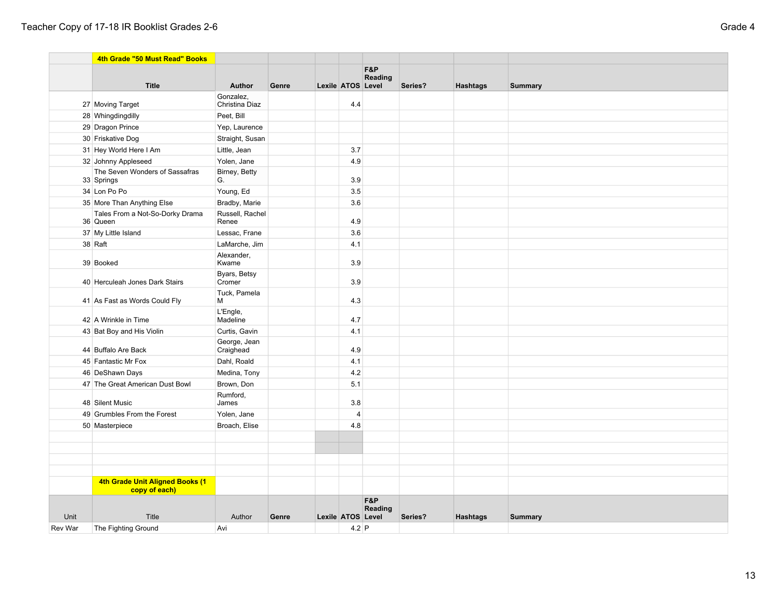|         | 4th Grade "50 Must Read" Books                   |                           |       |                   |                |         |                 |                |
|---------|--------------------------------------------------|---------------------------|-------|-------------------|----------------|---------|-----------------|----------------|
|         |                                                  |                           |       |                   | F&P            |         |                 |                |
|         | <b>Title</b>                                     | Author                    | Genre | Lexile ATOS Level | Reading        | Series? | <b>Hashtags</b> | <b>Summary</b> |
|         |                                                  | Gonzalez,                 |       |                   |                |         |                 |                |
|         | 27 Moving Target                                 | Christina Diaz            |       | 4.4               |                |         |                 |                |
|         | 28 Whingdingdilly                                | Peet, Bill                |       |                   |                |         |                 |                |
|         | 29 Dragon Prince                                 | Yep, Laurence             |       |                   |                |         |                 |                |
|         | 30 Friskative Dog                                | Straight, Susan           |       |                   |                |         |                 |                |
|         | 31 Hey World Here I Am                           | Little, Jean              |       | 3.7               |                |         |                 |                |
|         | 32 Johnny Appleseed                              | Yolen, Jane               |       | 4.9               |                |         |                 |                |
|         | The Seven Wonders of Sassafras<br>33 Springs     | Birney, Betty<br>G.       |       | 3.9               |                |         |                 |                |
|         | 34 Lon Po Po                                     | Young, Ed                 |       | 3.5               |                |         |                 |                |
|         | 35 More Than Anything Else                       | Bradby, Marie             |       | 3.6               |                |         |                 |                |
|         | Tales From a Not-So-Dorky Drama<br>36 Queen      | Russell, Rachel<br>Renee  |       | 4.9               |                |         |                 |                |
|         | 37 My Little Island                              | Lessac, Frane             |       | 3.6               |                |         |                 |                |
|         | 38 Raft                                          | LaMarche, Jim             |       | 4.1               |                |         |                 |                |
|         | 39 Booked                                        | Alexander,<br>Kwame       |       | 3.9               |                |         |                 |                |
|         | 40 Herculeah Jones Dark Stairs                   | Byars, Betsy<br>Cromer    |       | 3.9               |                |         |                 |                |
|         | 41 As Fast as Words Could Fly                    | Tuck, Pamela<br>М         |       | 4.3               |                |         |                 |                |
|         | 42 A Wrinkle in Time                             | L'Engle,<br>Madeline      |       | 4.7               |                |         |                 |                |
|         | 43 Bat Boy and His Violin                        | Curtis, Gavin             |       | 4.1               |                |         |                 |                |
|         | 44 Buffalo Are Back                              | George, Jean<br>Craighead |       | 4.9               |                |         |                 |                |
|         | 45 Fantastic Mr Fox                              | Dahl, Roald               |       | 4.1               |                |         |                 |                |
|         | 46 DeShawn Days                                  | Medina, Tony              |       | 4.2               |                |         |                 |                |
|         | 47 The Great American Dust Bowl                  | Brown, Don                |       | 5.1               |                |         |                 |                |
|         | 48 Silent Music                                  | Rumford,<br>James         |       | 3.8               |                |         |                 |                |
|         | 49 Grumbles From the Forest                      | Yolen, Jane               |       | $\overline{4}$    |                |         |                 |                |
|         | 50 Masterpiece                                   | Broach, Elise             |       | 4.8               |                |         |                 |                |
|         |                                                  |                           |       |                   |                |         |                 |                |
|         |                                                  |                           |       |                   |                |         |                 |                |
|         |                                                  |                           |       |                   |                |         |                 |                |
|         |                                                  |                           |       |                   |                |         |                 |                |
|         | 4th Grade Unit Aligned Books (1<br>copy of each) |                           |       |                   |                |         |                 |                |
|         |                                                  |                           |       |                   | F&P<br>Reading |         |                 |                |
| Unit    | Title                                            | Author                    | Genre | Lexile ATOS Level |                | Series? | <b>Hashtags</b> | <b>Summary</b> |
| Rev War | The Fighting Ground                              | Avi                       |       | $4.2$ P           |                |         |                 |                |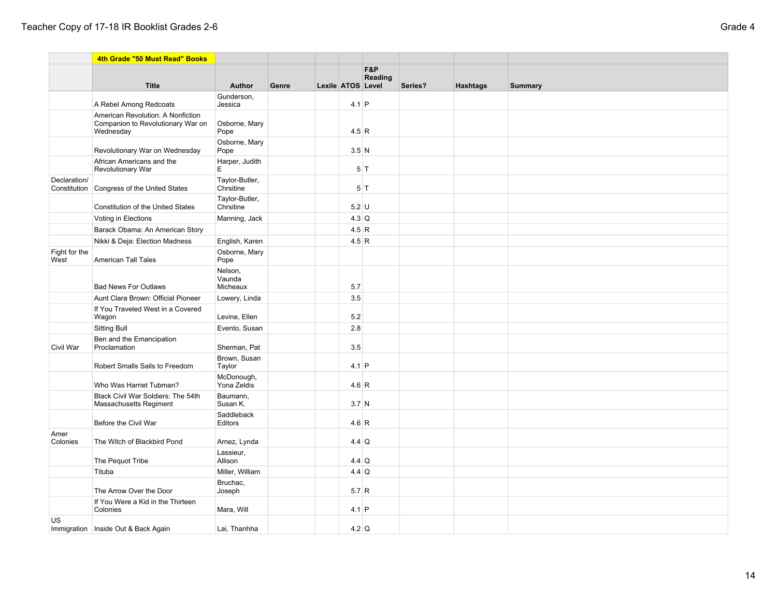|                              | 4th Grade "50 Must Read" Books                                                      |                               |       |                   |         |         |                 |                |
|------------------------------|-------------------------------------------------------------------------------------|-------------------------------|-------|-------------------|---------|---------|-----------------|----------------|
|                              |                                                                                     |                               |       |                   | F&P     |         |                 |                |
|                              | <b>Title</b>                                                                        | Author                        | Genre | Lexile ATOS Level | Reading | Series? | <b>Hashtags</b> | <b>Summary</b> |
|                              | A Rebel Among Redcoats                                                              | Gunderson,<br>Jessica         |       | $4.1$ P           |         |         |                 |                |
|                              | American Revolution: A Nonfiction<br>Companion to Revolutionary War on<br>Wednesday | Osborne, Mary<br>Pope         |       | 4.5 R             |         |         |                 |                |
|                              | Revolutionary War on Wednesday                                                      | Osborne, Mary<br>Pope         |       | $3.5$ N           |         |         |                 |                |
|                              | African Americans and the<br><b>Revolutionary War</b>                               | Harper, Judith<br>E           |       | 5 T               |         |         |                 |                |
| Declaration/<br>Constitution | Congress of the United States                                                       | Taylor-Butler,<br>Chrsitine   |       |                   | $5$ T   |         |                 |                |
|                              | <b>Constitution of the United States</b>                                            | Taylor-Butler,<br>Chrsitine   |       | $5.2$ U           |         |         |                 |                |
|                              | Voting in Elections                                                                 | Manning, Jack                 |       | $4.3$ Q           |         |         |                 |                |
|                              | Barack Obama: An American Story                                                     |                               |       | 4.5 R             |         |         |                 |                |
|                              | Nikki & Deja: Election Madness                                                      | English, Karen                |       | 4.5 R             |         |         |                 |                |
| Fight for the<br>West        | <b>American Tall Tales</b>                                                          | Osborne, Mary<br>Pope         |       |                   |         |         |                 |                |
|                              | <b>Bad News For Outlaws</b>                                                         | Nelson,<br>Vaunda<br>Micheaux |       | 5.7               |         |         |                 |                |
|                              | Aunt Clara Brown: Official Pioneer                                                  | Lowery, Linda                 |       | 3.5               |         |         |                 |                |
|                              | If You Traveled West in a Covered<br>Wagon                                          | Levine, Ellen                 |       | 5.2               |         |         |                 |                |
|                              | <b>Sitting Bull</b>                                                                 | Evento, Susan                 |       | 2.8               |         |         |                 |                |
| Civil War                    | Ben and the Emancipation<br>Proclamation                                            | Sherman, Pat                  |       | 3.5               |         |         |                 |                |
|                              | Robert Smalls Sails to Freedom                                                      | Brown, Susan<br>Taylor        |       | $4.1$ P           |         |         |                 |                |
|                              | Who Was Harriet Tubman?                                                             | McDonough,<br>Yona Zeldis     |       | 4.6 R             |         |         |                 |                |
|                              | Black Civil War Soldiers: The 54th<br>Massachusetts Regiment                        | Baumann,<br>Susan K.          |       | 3.7 <sub>N</sub>  |         |         |                 |                |
|                              | Before the Civil War                                                                | Saddleback<br>Editors         |       | 4.6 R             |         |         |                 |                |
| Amer<br>Colonies             | The Witch of Blackbird Pond                                                         | Arnez, Lynda                  |       | $4.4$ Q           |         |         |                 |                |
|                              | The Pequot Tribe                                                                    | Lassieur,<br>Allison          |       | $4.4$ Q           |         |         |                 |                |
|                              | Tituba                                                                              | Miller, William               |       | $4.4$ Q           |         |         |                 |                |
|                              | The Arrow Over the Door                                                             | Bruchac,<br>Joseph            |       | 5.7 R             |         |         |                 |                |
|                              | If You Were a Kid in the Thirteen<br>Colonies                                       | Mara, Will                    |       | $4.1$ P           |         |         |                 |                |
| US                           | Immigration   Inside Out & Back Again                                               | Lai, Thanhha                  |       | $4.2$ Q           |         |         |                 |                |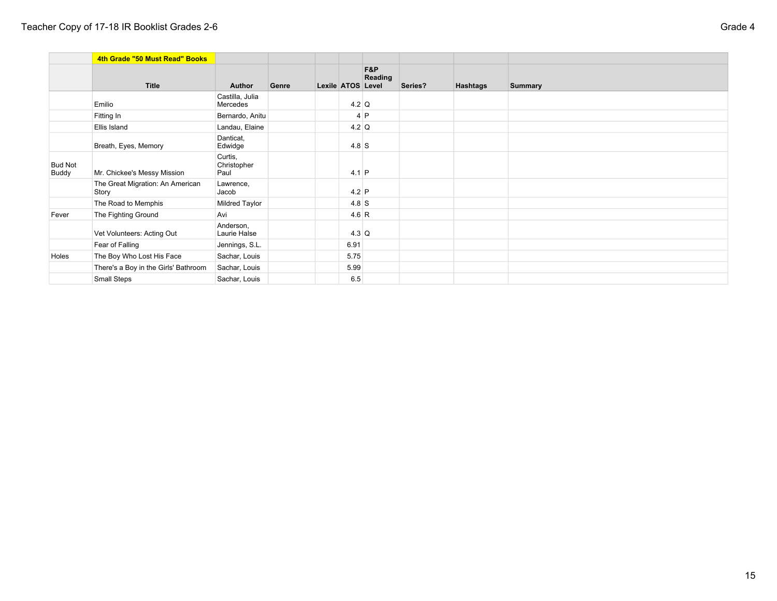|                         | 4th Grade "50 Must Read" Books            |                                |       |                   |                |         |                 |                |
|-------------------------|-------------------------------------------|--------------------------------|-------|-------------------|----------------|---------|-----------------|----------------|
|                         | <b>Title</b>                              | <b>Author</b>                  | Genre | Lexile ATOS Level | F&P<br>Reading | Series? | <b>Hashtags</b> | <b>Summary</b> |
|                         | Emilio                                    | Castilla, Julia<br>Mercedes    |       | $4.2$ Q           |                |         |                 |                |
|                         | Fitting In                                | Bernardo, Anitu                |       |                   | $4$ P          |         |                 |                |
|                         | Ellis Island                              | Landau, Elaine                 |       | $4.2$ Q           |                |         |                 |                |
|                         | Breath, Eyes, Memory                      | Danticat,<br>Edwidge           |       | $4.8$ S           |                |         |                 |                |
| <b>Bud Not</b><br>Buddy | Mr. Chickee's Messy Mission               | Curtis,<br>Christopher<br>Paul |       | $4.1$ P           |                |         |                 |                |
|                         | The Great Migration: An American<br>Story | Lawrence,<br>Jacob             |       | $4.2$ P           |                |         |                 |                |
|                         | The Road to Memphis                       | Mildred Taylor                 |       | $4.8$ S           |                |         |                 |                |
| Fever                   | The Fighting Ground                       | Avi                            |       | 4.6 R             |                |         |                 |                |
|                         | Vet Volunteers: Acting Out                | Anderson,<br>Laurie Halse      |       | $4.3$ Q           |                |         |                 |                |
|                         | Fear of Falling                           | Jennings, S.L.                 |       | 6.91              |                |         |                 |                |
| Holes                   | The Boy Who Lost His Face                 | Sachar, Louis                  |       | 5.75              |                |         |                 |                |
|                         | There's a Boy in the Girls' Bathroom      | Sachar, Louis                  |       | 5.99              |                |         |                 |                |
|                         | Small Steps                               | Sachar, Louis                  |       | 6.5               |                |         |                 |                |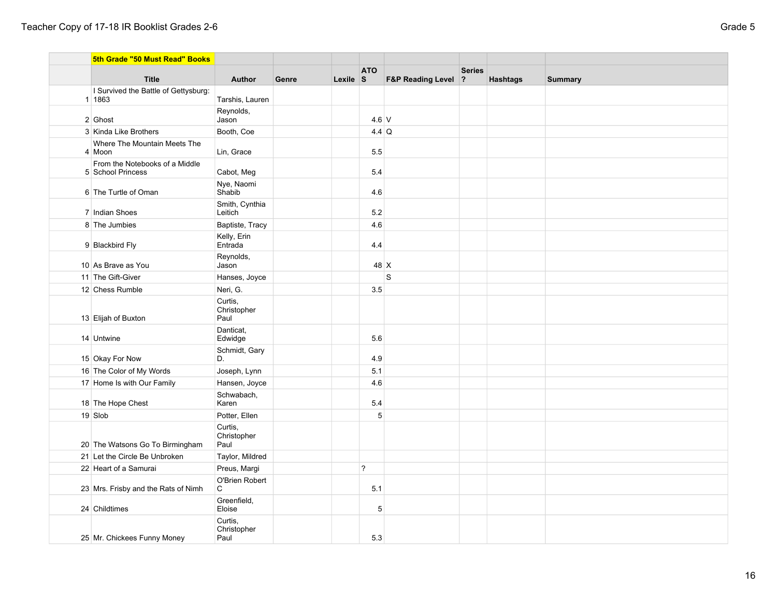| 5th Grade "50 Must Read" Books                      |                                |       |          |                |                     |               |                 |                |
|-----------------------------------------------------|--------------------------------|-------|----------|----------------|---------------------|---------------|-----------------|----------------|
| <b>Title</b>                                        | <b>Author</b>                  | Genre | Lexile S | <b>ATO</b>     | F&P Reading Level ? | <b>Series</b> | <b>Hashtags</b> | <b>Summary</b> |
| I Survived the Battle of Gettysburg:                |                                |       |          |                |                     |               |                 |                |
| 1 1863                                              | Tarshis, Lauren                |       |          |                |                     |               |                 |                |
| 2 Ghost                                             | Reynolds,<br>Jason             |       |          | $4.6$ V        |                     |               |                 |                |
| 3 Kinda Like Brothers                               | Booth, Coe                     |       |          | $4.4$ Q        |                     |               |                 |                |
| Where The Mountain Meets The<br>4 Moon              | Lin, Grace                     |       |          | 5.5            |                     |               |                 |                |
| From the Notebooks of a Middle<br>5 School Princess | Cabot, Meg                     |       |          | 5.4            |                     |               |                 |                |
| 6 The Turtle of Oman                                | Nye, Naomi<br>Shabib           |       |          | 4.6            |                     |               |                 |                |
| 7 Indian Shoes                                      | Smith, Cynthia<br>Leitich      |       |          | 5.2            |                     |               |                 |                |
| 8 The Jumbies                                       | Baptiste, Tracy                |       |          | 4.6            |                     |               |                 |                |
| 9 Blackbird Fly                                     | Kelly, Erin<br>Entrada         |       |          | 4.4            |                     |               |                 |                |
| 10 As Brave as You                                  | Reynolds,<br>Jason             |       |          | 48 X           |                     |               |                 |                |
| 11 The Gift-Giver                                   | Hanses, Joyce                  |       |          |                | S                   |               |                 |                |
| 12 Chess Rumble                                     | Neri, G.                       |       |          | 3.5            |                     |               |                 |                |
| 13 Elijah of Buxton                                 | Curtis,<br>Christopher<br>Paul |       |          |                |                     |               |                 |                |
| 14 Untwine                                          | Danticat,<br>Edwidge           |       |          | 5.6            |                     |               |                 |                |
| 15 Okay For Now                                     | Schmidt, Gary<br>D.            |       |          | 4.9            |                     |               |                 |                |
| 16 The Color of My Words                            | Joseph, Lynn                   |       |          | 5.1            |                     |               |                 |                |
| 17 Home Is with Our Family                          | Hansen, Joyce                  |       |          | 4.6            |                     |               |                 |                |
| 18 The Hope Chest                                   | Schwabach,<br>Karen            |       |          | 5.4            |                     |               |                 |                |
| 19 Slob                                             | Potter, Ellen                  |       |          | 5              |                     |               |                 |                |
| 20 The Watsons Go To Birmingham                     | Curtis,<br>Christopher<br>Paul |       |          |                |                     |               |                 |                |
| 21 Let the Circle Be Unbroken                       | Taylor, Mildred                |       |          |                |                     |               |                 |                |
| 22 Heart of a Samurai                               | Preus, Margi                   |       |          | $\overline{?}$ |                     |               |                 |                |
| 23 Mrs. Frisby and the Rats of Nimh                 | O'Brien Robert<br>C            |       |          | 5.1            |                     |               |                 |                |
| 24 Childtimes                                       | Greenfield,<br>Eloise          |       |          | 5              |                     |               |                 |                |
| 25 Mr. Chickees Funny Money                         | Curtis,<br>Christopher<br>Paul |       |          | 5.3            |                     |               |                 |                |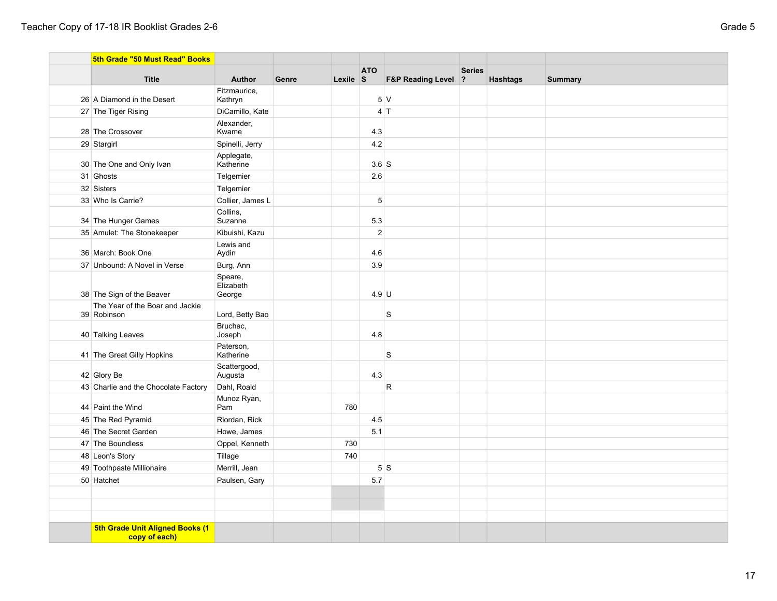| 5th Grade "50 Must Read" Books                   |                                |       |          |                |                                |               |                 |                |
|--------------------------------------------------|--------------------------------|-------|----------|----------------|--------------------------------|---------------|-----------------|----------------|
| <b>Title</b>                                     | <b>Author</b>                  | Genre | Lexile S | <b>ATO</b>     | <b>F&amp;P Reading Level ?</b> | <b>Series</b> | <b>Hashtags</b> | <b>Summary</b> |
| 26 A Diamond in the Desert                       | Fitzmaurice,<br>Kathryn        |       |          |                | 5V                             |               |                 |                |
| 27 The Tiger Rising                              | DiCamillo, Kate                |       |          |                | $4$ T                          |               |                 |                |
| 28 The Crossover                                 | Alexander,<br>Kwame            |       |          | 4.3            |                                |               |                 |                |
| 29 Stargirl                                      | Spinelli, Jerry                |       |          | 4.2            |                                |               |                 |                |
| 30 The One and Only Ivan                         | Applegate,<br>Katherine        |       |          | $3.6$ $S$      |                                |               |                 |                |
| 31 Ghosts                                        | Telgemier                      |       |          | $2.6\,$        |                                |               |                 |                |
| 32 Sisters                                       | Telgemier                      |       |          |                |                                |               |                 |                |
| 33 Who Is Carrie?                                | Collier, James L               |       |          | $\sqrt{5}$     |                                |               |                 |                |
| 34 The Hunger Games                              | Collins,<br>Suzanne            |       |          | 5.3            |                                |               |                 |                |
| 35 Amulet: The Stonekeeper                       | Kibuishi, Kazu                 |       |          | $\overline{2}$ |                                |               |                 |                |
| 36 March: Book One                               | Lewis and<br>Aydin             |       |          | 4.6            |                                |               |                 |                |
| 37 Unbound: A Novel in Verse                     | Burg, Ann                      |       |          | 3.9            |                                |               |                 |                |
| 38 The Sign of the Beaver                        | Speare,<br>Elizabeth<br>George |       |          | $4.9$ U        |                                |               |                 |                |
| The Year of the Boar and Jackie<br>39 Robinson   | Lord, Betty Bao                |       |          |                | S                              |               |                 |                |
| 40 Talking Leaves                                | Bruchac,<br>Joseph             |       |          | 4.8            |                                |               |                 |                |
| 41 The Great Gilly Hopkins                       | Paterson,<br>Katherine         |       |          |                | S                              |               |                 |                |
| 42 Glory Be                                      | Scattergood,<br>Augusta        |       |          | 4.3            |                                |               |                 |                |
| 43 Charlie and the Chocolate Factory             | Dahl, Roald                    |       |          |                | $\mathsf{R}$                   |               |                 |                |
| 44 Paint the Wind                                | Munoz Ryan,<br>Pam             |       | 780      |                |                                |               |                 |                |
| 45 The Red Pyramid                               | Riordan, Rick                  |       |          | 4.5            |                                |               |                 |                |
| 46 The Secret Garden                             | Howe, James                    |       |          | 5.1            |                                |               |                 |                |
| 47 The Boundless                                 | Oppel, Kenneth                 |       | 730      |                |                                |               |                 |                |
| 48 Leon's Story                                  | Tillage                        |       | 740      |                |                                |               |                 |                |
| 49 Toothpaste Millionaire                        | Merrill, Jean                  |       |          |                | 5S                             |               |                 |                |
| 50 Hatchet                                       | Paulsen, Gary                  |       |          | 5.7            |                                |               |                 |                |
|                                                  |                                |       |          |                |                                |               |                 |                |
|                                                  |                                |       |          |                |                                |               |                 |                |
|                                                  |                                |       |          |                |                                |               |                 |                |
| 5th Grade Unit Aligned Books (1<br>copy of each) |                                |       |          |                |                                |               |                 |                |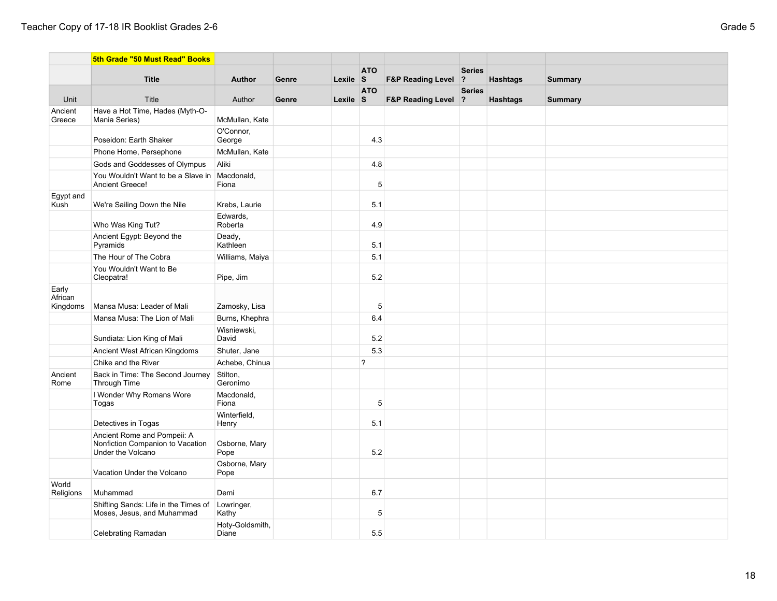|                              | 5th Grade "50 Must Read" Books                                                       |                          |       |                  |                |                                |                                 |                 |                |
|------------------------------|--------------------------------------------------------------------------------------|--------------------------|-------|------------------|----------------|--------------------------------|---------------------------------|-----------------|----------------|
|                              | <b>Title</b>                                                                         | Author                   | Genre | Lexile $\vert$ S | <b>ATO</b>     | <b>F&amp;P Reading Level</b>   | <b>Series</b><br>$\overline{?}$ | <b>Hashtags</b> |                |
|                              |                                                                                      |                          |       |                  | <b>ATO</b>     |                                | <b>Series</b>                   |                 | <b>Summary</b> |
| Unit                         | Title                                                                                | Author                   | Genre | Lexile $\vert$ S |                | <b>F&amp;P Reading Level ?</b> |                                 | <b>Hashtags</b> | <b>Summary</b> |
| Ancient<br>Greece            | Have a Hot Time, Hades (Myth-O-<br>Mania Series)                                     | McMullan, Kate           |       |                  |                |                                |                                 |                 |                |
|                              | Poseidon: Earth Shaker                                                               | O'Connor.<br>George      |       |                  | 4.3            |                                |                                 |                 |                |
|                              | Phone Home, Persephone                                                               | McMullan, Kate           |       |                  |                |                                |                                 |                 |                |
|                              | Gods and Goddesses of Olympus                                                        | Aliki                    |       |                  | 4.8            |                                |                                 |                 |                |
|                              | You Wouldn't Want to be a Slave in<br>Ancient Greece!                                | Macdonald,<br>Fiona      |       |                  | $\sqrt{5}$     |                                |                                 |                 |                |
| Egypt and<br>Kush            | We're Sailing Down the Nile                                                          | Krebs, Laurie            |       |                  | 5.1            |                                |                                 |                 |                |
|                              | Who Was King Tut?                                                                    | Edwards,<br>Roberta      |       |                  | 4.9            |                                |                                 |                 |                |
|                              | Ancient Egypt: Beyond the<br>Pyramids                                                | Deady,<br>Kathleen       |       |                  | 5.1            |                                |                                 |                 |                |
|                              | The Hour of The Cobra                                                                | Williams, Maiya          |       |                  | 5.1            |                                |                                 |                 |                |
|                              | You Wouldn't Want to Be<br>Cleopatra!                                                | Pipe, Jim                |       |                  | 5.2            |                                |                                 |                 |                |
| Early<br>African<br>Kingdoms | Mansa Musa: Leader of Mali                                                           | Zamosky, Lisa            |       |                  | $\,$ 5 $\,$    |                                |                                 |                 |                |
|                              | Mansa Musa: The Lion of Mali                                                         | Burns, Khephra           |       |                  | 6.4            |                                |                                 |                 |                |
|                              | Sundiata: Lion King of Mali                                                          | Wisniewski,<br>David     |       |                  | 5.2            |                                |                                 |                 |                |
|                              | Ancient West African Kingdoms                                                        | Shuter, Jane             |       |                  | 5.3            |                                |                                 |                 |                |
|                              | Chike and the River                                                                  | Achebe, Chinua           |       |                  | $\overline{?}$ |                                |                                 |                 |                |
| Ancient<br>Rome              | Back in Time: The Second Journey<br>Through Time                                     | Stilton,<br>Geronimo     |       |                  |                |                                |                                 |                 |                |
|                              | I Wonder Why Romans Wore<br>Togas                                                    | Macdonald,<br>Fiona      |       |                  | 5              |                                |                                 |                 |                |
|                              | Detectives in Togas                                                                  | Winterfield,<br>Henry    |       |                  | 5.1            |                                |                                 |                 |                |
|                              | Ancient Rome and Pompeii: A<br>Nonfiction Companion to Vacation<br>Under the Volcano | Osborne, Mary<br>Pope    |       |                  | 5.2            |                                |                                 |                 |                |
|                              | Vacation Under the Volcano                                                           | Osborne, Mary<br>Pope    |       |                  |                |                                |                                 |                 |                |
| World<br>Religions           | Muhammad                                                                             | Demi                     |       |                  | 6.7            |                                |                                 |                 |                |
|                              | Shifting Sands: Life in the Times of<br>Moses, Jesus, and Muhammad                   | Lowringer,<br>Kathy      |       |                  | $\,$ 5 $\,$    |                                |                                 |                 |                |
|                              | Celebrating Ramadan                                                                  | Hoty-Goldsmith,<br>Diane |       |                  | 5.5            |                                |                                 |                 |                |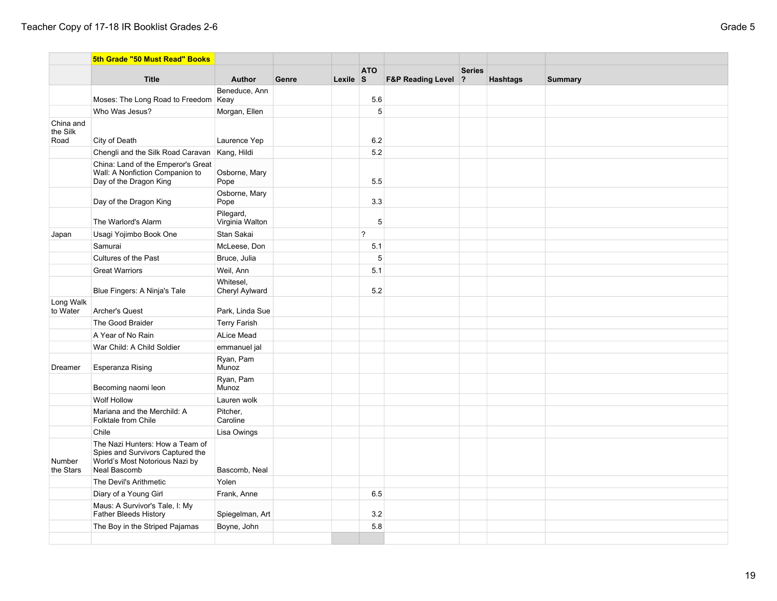|                       | 5th Grade "50 Must Read" Books                                                                                        |                              |       |          |                |                                |               |                 |                |
|-----------------------|-----------------------------------------------------------------------------------------------------------------------|------------------------------|-------|----------|----------------|--------------------------------|---------------|-----------------|----------------|
|                       | <b>Title</b>                                                                                                          | <b>Author</b>                | Genre | Lexile S | <b>ATO</b>     | <b>F&amp;P Reading Level ?</b> | <b>Series</b> | <b>Hashtags</b> | <b>Summary</b> |
|                       |                                                                                                                       | Beneduce, Ann                |       |          |                |                                |               |                 |                |
|                       | Moses: The Long Road to Freedom                                                                                       | Keay                         |       |          | 5.6            |                                |               |                 |                |
|                       | Who Was Jesus?                                                                                                        | Morgan, Ellen                |       |          | 5 <sup>5</sup> |                                |               |                 |                |
| China and             |                                                                                                                       |                              |       |          |                |                                |               |                 |                |
| the Silk<br>Road      | City of Death                                                                                                         | Laurence Yep                 |       |          | 6.2            |                                |               |                 |                |
|                       | Chengli and the Silk Road Caravan                                                                                     | Kang, Hildi                  |       |          | 5.2            |                                |               |                 |                |
|                       | China: Land of the Emperor's Great                                                                                    |                              |       |          |                |                                |               |                 |                |
|                       | Wall: A Nonfiction Companion to<br>Day of the Dragon King                                                             | Osborne, Mary<br>Pope        |       |          | 5.5            |                                |               |                 |                |
|                       | Day of the Dragon King                                                                                                | Osborne, Mary<br>Pope        |       |          | 3.3            |                                |               |                 |                |
|                       | The Warlord's Alarm                                                                                                   | Pilegard,<br>Virginia Walton |       |          | 5              |                                |               |                 |                |
| Japan                 | Usagi Yojimbo Book One                                                                                                | Stan Sakai                   |       |          | $\overline{?}$ |                                |               |                 |                |
|                       | Samurai                                                                                                               | McLeese, Don                 |       |          | 5.1            |                                |               |                 |                |
|                       | Cultures of the Past                                                                                                  | Bruce, Julia                 |       |          | 5              |                                |               |                 |                |
|                       | <b>Great Warriors</b>                                                                                                 | Weil, Ann                    |       |          | 5.1            |                                |               |                 |                |
|                       | Blue Fingers: A Ninja's Tale                                                                                          | Whitesel,<br>Cheryl Aylward  |       |          | 5.2            |                                |               |                 |                |
| Long Walk<br>to Water | Archer's Quest                                                                                                        | Park, Linda Sue              |       |          |                |                                |               |                 |                |
|                       | The Good Braider                                                                                                      | <b>Terry Farish</b>          |       |          |                |                                |               |                 |                |
|                       | A Year of No Rain                                                                                                     | <b>ALice Mead</b>            |       |          |                |                                |               |                 |                |
|                       | War Child: A Child Soldier                                                                                            | emmanuel jal                 |       |          |                |                                |               |                 |                |
| Dreamer               | Esperanza Rising                                                                                                      | Ryan, Pam<br>Munoz           |       |          |                |                                |               |                 |                |
|                       | Becoming naomi leon                                                                                                   | Ryan, Pam<br>Munoz           |       |          |                |                                |               |                 |                |
|                       | Wolf Hollow                                                                                                           | Lauren wolk                  |       |          |                |                                |               |                 |                |
|                       | Mariana and the Merchild: A<br>Folktale from Chile                                                                    | Pitcher,<br>Caroline         |       |          |                |                                |               |                 |                |
|                       | Chile                                                                                                                 | Lisa Owings                  |       |          |                |                                |               |                 |                |
| Number<br>the Stars   | The Nazi Hunters: How a Team of<br>Spies and Survivors Captured the<br>World's Most Notorious Nazi by<br>Neal Bascomb | Bascomb, Neal                |       |          |                |                                |               |                 |                |
|                       | The Devil's Arithmetic                                                                                                | Yolen                        |       |          |                |                                |               |                 |                |
|                       | Diary of a Young Girl                                                                                                 | Frank, Anne                  |       |          | 6.5            |                                |               |                 |                |
|                       | Maus: A Survivor's Tale, I: My<br><b>Father Bleeds History</b>                                                        | Spiegelman, Art              |       |          | 3.2            |                                |               |                 |                |
|                       | The Boy in the Striped Pajamas                                                                                        | Boyne, John                  |       |          | 5.8            |                                |               |                 |                |
|                       |                                                                                                                       |                              |       |          |                |                                |               |                 |                |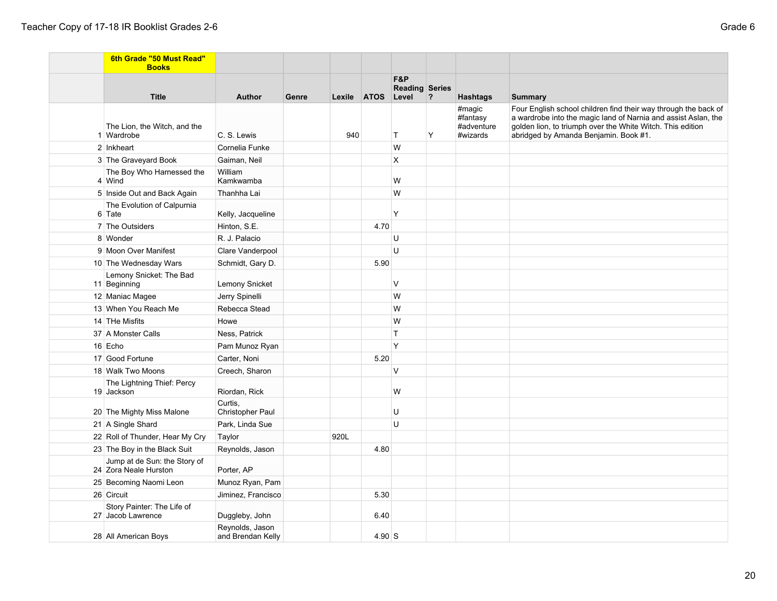| 6th Grade "50 Must Read"<br><b>Books</b>              |                                      |       |      |                   |                              |             |                                  |                                                                                                                                                                                                 |
|-------------------------------------------------------|--------------------------------------|-------|------|-------------------|------------------------------|-------------|----------------------------------|-------------------------------------------------------------------------------------------------------------------------------------------------------------------------------------------------|
|                                                       |                                      |       |      |                   | F&P<br><b>Reading Series</b> |             |                                  |                                                                                                                                                                                                 |
| <b>Title</b>                                          | <b>Author</b>                        | Genre |      | Lexile ATOS Level |                              | $ 2\rangle$ | <b>Hashtags</b>                  | <b>Summary</b>                                                                                                                                                                                  |
| The Lion, the Witch, and the                          |                                      |       |      |                   |                              |             | #magic<br>#fantasy<br>#adventure | Four English school children find their way through the back of<br>a wardrobe into the magic land of Narnia and assist Aslan, the<br>golden lion, to triumph over the White Witch. This edition |
| 1 Wardrobe                                            | C. S. Lewis                          |       | 940  |                   | $\top$                       | Υ           | #wizards                         | abridged by Amanda Benjamin. Book #1.                                                                                                                                                           |
| 2 Inkheart                                            | Cornelia Funke                       |       |      |                   | W                            |             |                                  |                                                                                                                                                                                                 |
| 3 The Graveyard Book                                  | Gaiman, Neil                         |       |      |                   | X                            |             |                                  |                                                                                                                                                                                                 |
| The Boy Who Harnessed the<br>4 Wind                   | William<br>Kamkwamba                 |       |      |                   | W                            |             |                                  |                                                                                                                                                                                                 |
| 5 Inside Out and Back Again                           | Thanhha Lai                          |       |      |                   | W                            |             |                                  |                                                                                                                                                                                                 |
| The Evolution of Calpurnia<br>6 Tate                  | Kelly, Jacqueline                    |       |      |                   | Y                            |             |                                  |                                                                                                                                                                                                 |
| 7 The Outsiders                                       | Hinton, S.E.                         |       |      | 4.70              |                              |             |                                  |                                                                                                                                                                                                 |
| 8 Wonder                                              | R. J. Palacio                        |       |      |                   | U                            |             |                                  |                                                                                                                                                                                                 |
| 9 Moon Over Manifest                                  | Clare Vanderpool                     |       |      |                   | U                            |             |                                  |                                                                                                                                                                                                 |
| 10 The Wednesday Wars                                 | Schmidt, Gary D.                     |       |      | 5.90              |                              |             |                                  |                                                                                                                                                                                                 |
| Lemony Snicket: The Bad<br>11 Beginning               | <b>Lemony Snicket</b>                |       |      |                   | $\vee$                       |             |                                  |                                                                                                                                                                                                 |
| 12 Maniac Magee                                       | Jerry Spinelli                       |       |      |                   | W                            |             |                                  |                                                                                                                                                                                                 |
| 13 When You Reach Me                                  | Rebecca Stead                        |       |      |                   | W                            |             |                                  |                                                                                                                                                                                                 |
| 14 THe Misfits                                        | Howe                                 |       |      |                   | W                            |             |                                  |                                                                                                                                                                                                 |
| 37 A Monster Calls                                    | Ness, Patrick                        |       |      |                   | $\top$                       |             |                                  |                                                                                                                                                                                                 |
| 16 Echo                                               | Pam Munoz Ryan                       |       |      |                   | Y                            |             |                                  |                                                                                                                                                                                                 |
| 17 Good Fortune                                       | Carter, Noni                         |       |      | 5.20              |                              |             |                                  |                                                                                                                                                                                                 |
| 18 Walk Two Moons                                     | Creech, Sharon                       |       |      |                   | V                            |             |                                  |                                                                                                                                                                                                 |
| The Lightning Thief: Percy<br>19 Jackson              | Riordan, Rick                        |       |      |                   | W                            |             |                                  |                                                                                                                                                                                                 |
| 20 The Mighty Miss Malone                             | Curtis.<br><b>Christopher Paul</b>   |       |      |                   | U                            |             |                                  |                                                                                                                                                                                                 |
| 21 A Single Shard                                     | Park, Linda Sue                      |       |      |                   | U                            |             |                                  |                                                                                                                                                                                                 |
| 22 Roll of Thunder, Hear My Cry                       | Taylor                               |       | 920L |                   |                              |             |                                  |                                                                                                                                                                                                 |
| 23 The Boy in the Black Suit                          | Reynolds, Jason                      |       |      | 4.80              |                              |             |                                  |                                                                                                                                                                                                 |
| Jump at de Sun: the Story of<br>24 Zora Neale Hurston | Porter, AP                           |       |      |                   |                              |             |                                  |                                                                                                                                                                                                 |
| 25 Becoming Naomi Leon                                | Munoz Ryan, Pam                      |       |      |                   |                              |             |                                  |                                                                                                                                                                                                 |
| 26 Circuit                                            | Jiminez, Francisco                   |       |      | 5.30              |                              |             |                                  |                                                                                                                                                                                                 |
| Story Painter: The Life of<br>27 Jacob Lawrence       | Duggleby, John                       |       |      | 6.40              |                              |             |                                  |                                                                                                                                                                                                 |
| 28 All American Boys                                  | Reynolds, Jason<br>and Brendan Kelly |       |      | $4.90$ S          |                              |             |                                  |                                                                                                                                                                                                 |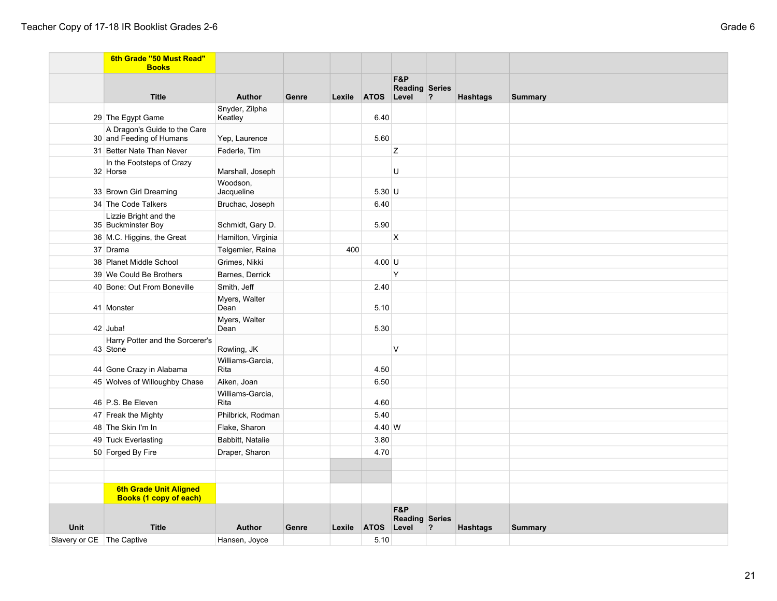|                             | 6th Grade "50 Must Read"<br><b>Books</b>                       |                          |       |        |                   |                                       |   |                 |                |
|-----------------------------|----------------------------------------------------------------|--------------------------|-------|--------|-------------------|---------------------------------------|---|-----------------|----------------|
|                             | <b>Title</b>                                                   | <b>Author</b>            | Genre |        | Lexile ATOS Level | F&P<br><b>Reading Series</b>          | ? | <b>Hashtags</b> | <b>Summary</b> |
|                             |                                                                | Snyder, Zilpha           |       |        |                   |                                       |   |                 |                |
|                             | 29 The Egypt Game                                              | Keatley                  |       |        | 6.40              |                                       |   |                 |                |
|                             | A Dragon's Guide to the Care<br>30 and Feeding of Humans       | Yep, Laurence            |       |        | 5.60              |                                       |   |                 |                |
|                             | 31 Better Nate Than Never                                      | Federle, Tim             |       |        |                   | Z                                     |   |                 |                |
|                             | In the Footsteps of Crazy<br>32 Horse                          | Marshall, Joseph         |       |        |                   | U                                     |   |                 |                |
|                             | 33 Brown Girl Dreaming                                         | Woodson,<br>Jacqueline   |       |        | $5.30$ U          |                                       |   |                 |                |
|                             | 34 The Code Talkers                                            | Bruchac, Joseph          |       |        | 6.40              |                                       |   |                 |                |
|                             | Lizzie Bright and the<br>35 Buckminster Boy                    | Schmidt, Gary D.         |       |        | 5.90              |                                       |   |                 |                |
|                             | 36 M.C. Higgins, the Great                                     | Hamilton, Virginia       |       |        |                   | $\mathsf{X}$                          |   |                 |                |
|                             | 37 Drama                                                       | Telgemier, Raina         |       | 400    |                   |                                       |   |                 |                |
|                             | 38 Planet Middle School                                        | Grimes, Nikki            |       |        | $4.00$ U          |                                       |   |                 |                |
|                             | 39 We Could Be Brothers                                        | Barnes, Derrick          |       |        |                   | Y                                     |   |                 |                |
|                             | 40 Bone: Out From Boneville                                    | Smith, Jeff              |       |        | 2.40              |                                       |   |                 |                |
|                             | 41 Monster                                                     | Myers, Walter<br>Dean    |       |        | 5.10              |                                       |   |                 |                |
|                             | 42 Juba!                                                       | Myers, Walter<br>Dean    |       |        | 5.30              |                                       |   |                 |                |
|                             | Harry Potter and the Sorcerer's<br>43 Stone                    | Rowling, JK              |       |        |                   | $\vee$                                |   |                 |                |
|                             | 44 Gone Crazy in Alabama                                       | Williams-Garcia,<br>Rita |       |        | 4.50              |                                       |   |                 |                |
|                             | 45 Wolves of Willoughby Chase                                  | Aiken, Joan              |       |        | 6.50              |                                       |   |                 |                |
|                             | 46 P.S. Be Eleven                                              | Williams-Garcia,<br>Rita |       |        | 4.60              |                                       |   |                 |                |
|                             | 47 Freak the Mighty                                            | Philbrick, Rodman        |       |        | 5.40              |                                       |   |                 |                |
|                             | 48 The Skin I'm In                                             | Flake, Sharon            |       |        | 4.40 W            |                                       |   |                 |                |
|                             | 49 Tuck Everlasting                                            | Babbitt, Natalie         |       |        | 3.80              |                                       |   |                 |                |
|                             | 50 Forged By Fire                                              | Draper, Sharon           |       |        | 4.70              |                                       |   |                 |                |
|                             |                                                                |                          |       |        |                   |                                       |   |                 |                |
|                             |                                                                |                          |       |        |                   |                                       |   |                 |                |
|                             | <b>6th Grade Unit Aligned</b><br><b>Books (1 copy of each)</b> |                          |       |        |                   |                                       |   |                 |                |
| <b>Unit</b>                 | <b>Title</b>                                                   | Author                   | Genre | Lexile | <b>ATOS</b>       | F&P<br><b>Reading Series</b><br>Level | ? | <b>Hashtags</b> | <b>Summary</b> |
| Slavery or CE   The Captive |                                                                | Hansen, Joyce            |       |        | 5.10              |                                       |   |                 |                |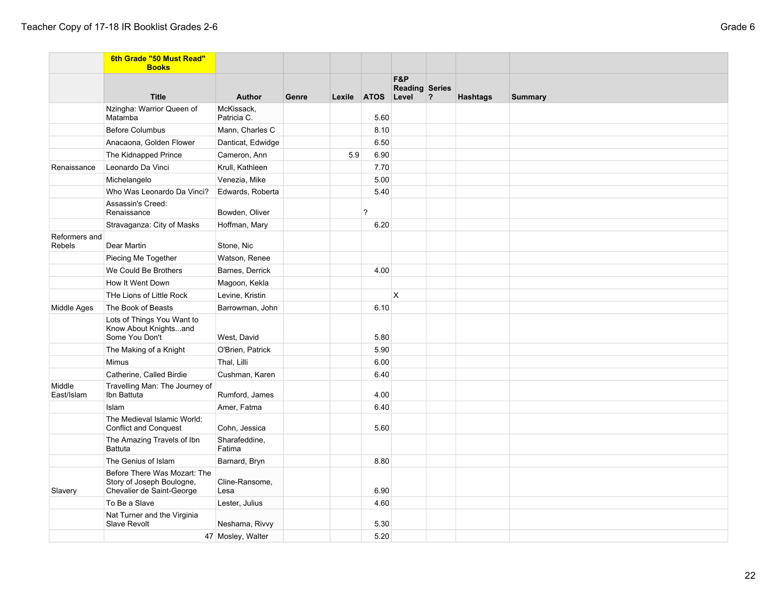|                         | 6th Grade "50 Must Read"<br><b>Books</b>                                               |                           |       |     |                          |                              |   |                 |                |
|-------------------------|----------------------------------------------------------------------------------------|---------------------------|-------|-----|--------------------------|------------------------------|---|-----------------|----------------|
|                         |                                                                                        |                           |       |     |                          | F&P<br><b>Reading Series</b> |   |                 |                |
|                         | <b>Title</b>                                                                           | Author                    | Genre |     | Lexile ATOS Level        |                              | ? | <b>Hashtags</b> | <b>Summary</b> |
|                         | Nzingha: Warrior Queen of<br>Matamba                                                   | McKissack,<br>Patricia C. |       |     | 5.60                     |                              |   |                 |                |
|                         | <b>Before Columbus</b>                                                                 | Mann, Charles C           |       |     | 8.10                     |                              |   |                 |                |
|                         | Anacaona, Golden Flower                                                                | Danticat, Edwidge         |       |     | 6.50                     |                              |   |                 |                |
|                         | The Kidnapped Prince                                                                   | Cameron, Ann              |       | 5.9 | 6.90                     |                              |   |                 |                |
| Renaissance             | Leonardo Da Vinci                                                                      | Krull, Kathleen           |       |     | 7.70                     |                              |   |                 |                |
|                         | Michelangelo                                                                           | Venezia, Mike             |       |     | 5.00                     |                              |   |                 |                |
|                         | Who Was Leonardo Da Vinci?                                                             | Edwards, Roberta          |       |     | 5.40                     |                              |   |                 |                |
|                         | Assassin's Creed:<br>Renaissance                                                       | Bowden, Oliver            |       |     | $\overline{\phantom{0}}$ |                              |   |                 |                |
|                         | Stravaganza: City of Masks                                                             | Hoffman, Mary             |       |     | 6.20                     |                              |   |                 |                |
| Reformers and<br>Rebels | Dear Martin                                                                            | Stone, Nic                |       |     |                          |                              |   |                 |                |
|                         | Piecing Me Together                                                                    | Watson, Renee             |       |     |                          |                              |   |                 |                |
|                         | We Could Be Brothers                                                                   | Barnes, Derrick           |       |     | 4.00                     |                              |   |                 |                |
|                         | How It Went Down                                                                       | Magoon, Kekla             |       |     |                          |                              |   |                 |                |
|                         | THe Lions of Little Rock                                                               | Levine, Kristin           |       |     |                          | X                            |   |                 |                |
| Middle Ages             | The Book of Beasts                                                                     | Barrowman, John           |       |     | 6.10                     |                              |   |                 |                |
|                         | Lots of Things You Want to<br>Know About Knightsand<br>Some You Don't                  | West, David               |       |     | 5.80                     |                              |   |                 |                |
|                         | The Making of a Knight                                                                 | O'Brien, Patrick          |       |     | 5.90                     |                              |   |                 |                |
|                         | <b>Mimus</b>                                                                           | Thal, Lilli               |       |     | 6.00                     |                              |   |                 |                |
|                         | Catherine, Called Birdie                                                               | Cushman, Karen            |       |     | 6.40                     |                              |   |                 |                |
| Middle<br>East/Islam    | Travelling Man: The Journey of<br>Ibn Battuta                                          | Rumford, James            |       |     | 4.00                     |                              |   |                 |                |
|                         | Islam                                                                                  | Amer, Fatma               |       |     | 6.40                     |                              |   |                 |                |
|                         | The Medieval Islamic World:<br><b>Conflict and Conquest</b>                            | Cohn, Jessica             |       |     | 5.60                     |                              |   |                 |                |
|                         | The Amazing Travels of Ibn<br><b>Battuta</b>                                           | Sharafeddine,<br>Fatima   |       |     |                          |                              |   |                 |                |
|                         | The Genius of Islam                                                                    | Barnard, Bryn             |       |     | 8.80                     |                              |   |                 |                |
| Slavery                 | Before There Was Mozart: The<br>Story of Joseph Boulogne,<br>Chevalier de Saint-George | Cline-Ransome,<br>Lesa    |       |     | 6.90                     |                              |   |                 |                |
|                         | To Be a Slave                                                                          | Lester, Julius            |       |     | 4.60                     |                              |   |                 |                |
|                         | Nat Turner and the Virginia<br>Slave Revolt                                            | Neshama, Rivvy            |       |     | 5.30                     |                              |   |                 |                |
|                         |                                                                                        | 47 Mosley, Walter         |       |     | 5.20                     |                              |   |                 |                |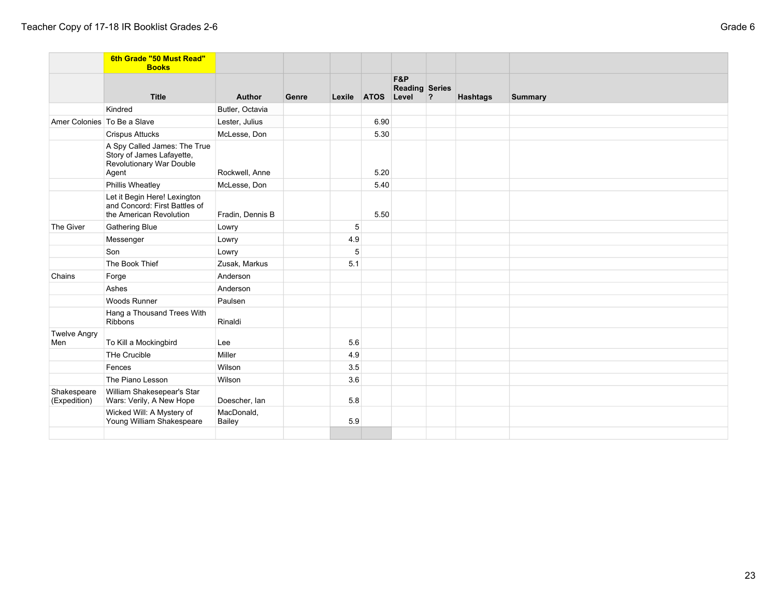|                             | 6th Grade "50 Must Read"<br><b>Books</b>                                                       |                      |       |        |             |                                       |   |                 |                |
|-----------------------------|------------------------------------------------------------------------------------------------|----------------------|-------|--------|-------------|---------------------------------------|---|-----------------|----------------|
|                             | <b>Title</b>                                                                                   | Author               | Genre | Lexile | <b>ATOS</b> | F&P<br><b>Reading Series</b><br>Level | ? | <b>Hashtags</b> | <b>Summary</b> |
|                             | Kindred                                                                                        | Butler, Octavia      |       |        |             |                                       |   |                 |                |
| Amer Colonies To Be a Slave |                                                                                                | Lester, Julius       |       |        | 6.90        |                                       |   |                 |                |
|                             | <b>Crispus Attucks</b>                                                                         | McLesse, Don         |       |        | 5.30        |                                       |   |                 |                |
|                             | A Spy Called James: The True<br>Story of James Lafayette,<br>Revolutionary War Double<br>Agent | Rockwell, Anne       |       |        | 5.20        |                                       |   |                 |                |
|                             | Phillis Wheatley                                                                               | McLesse, Don         |       |        | 5.40        |                                       |   |                 |                |
|                             | Let it Begin Here! Lexington<br>and Concord: First Battles of<br>the American Revolution       | Fradin, Dennis B     |       |        | 5.50        |                                       |   |                 |                |
| The Giver                   | <b>Gathering Blue</b>                                                                          | Lowry                |       | 5      |             |                                       |   |                 |                |
|                             | Messenger                                                                                      | Lowry                |       | 4.9    |             |                                       |   |                 |                |
|                             | Son                                                                                            | Lowry                |       | 5      |             |                                       |   |                 |                |
|                             | The Book Thief                                                                                 | Zusak, Markus        |       | 5.1    |             |                                       |   |                 |                |
| Chains                      | Forge                                                                                          | Anderson             |       |        |             |                                       |   |                 |                |
|                             | Ashes                                                                                          | Anderson             |       |        |             |                                       |   |                 |                |
|                             | <b>Woods Runner</b>                                                                            | Paulsen              |       |        |             |                                       |   |                 |                |
|                             | Hang a Thousand Trees With<br><b>Ribbons</b>                                                   | Rinaldi              |       |        |             |                                       |   |                 |                |
| <b>Twelve Angry</b><br>Men  | To Kill a Mockingbird                                                                          | Lee                  |       | 5.6    |             |                                       |   |                 |                |
|                             | THe Crucible                                                                                   | Miller               |       | 4.9    |             |                                       |   |                 |                |
|                             | Fences                                                                                         | Wilson               |       | 3.5    |             |                                       |   |                 |                |
|                             | The Piano Lesson                                                                               | Wilson               |       | 3.6    |             |                                       |   |                 |                |
| Shakespeare<br>(Expedition) | William Shakesepear's Star<br>Wars: Verily, A New Hope                                         | Doescher, Ian        |       | 5.8    |             |                                       |   |                 |                |
|                             | Wicked Will: A Mystery of<br>Young William Shakespeare                                         | MacDonald,<br>Bailey |       | 5.9    |             |                                       |   |                 |                |
|                             |                                                                                                |                      |       |        |             |                                       |   |                 |                |